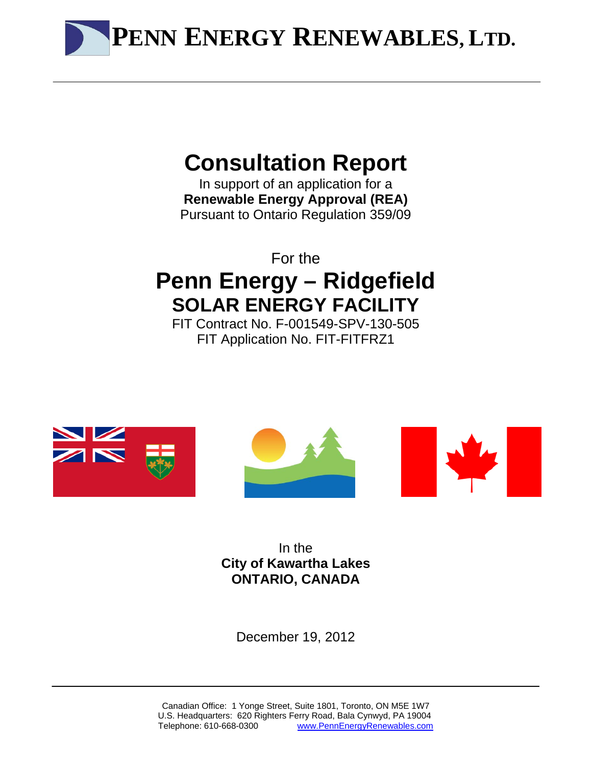**PENN ENERGY RENEWABLES, LTD.**

# **Consultation Report**

In support of an application for a **Renewable Energy Approval (REA)**  Pursuant to Ontario Regulation 359/09

For the **Penn Energy – Ridgefield SOLAR ENERGY FACILITY** 

FIT Contract No. F-001549-SPV-130-505 FIT Application No. FIT-FITFRZ1







In the **City of Kawartha Lakes ONTARIO, CANADA**

December 19, 2012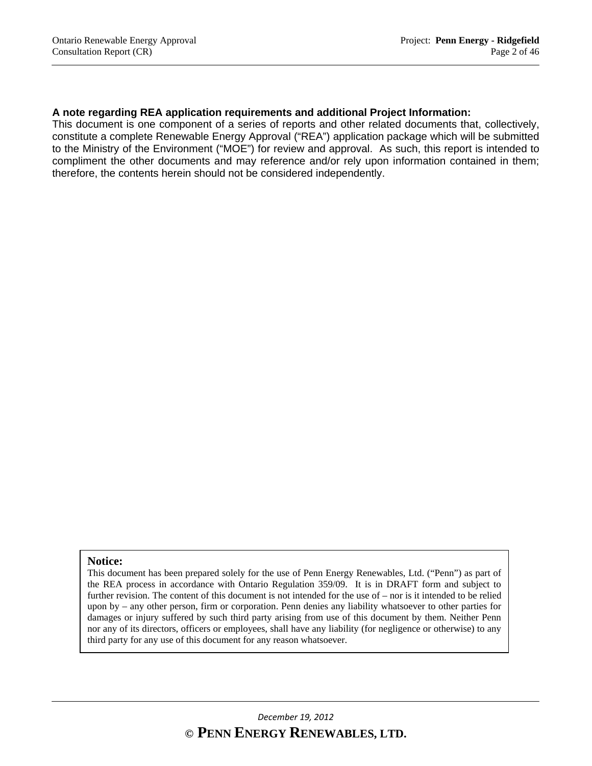#### **A note regarding REA application requirements and additional Project Information:**

This document is one component of a series of reports and other related documents that, collectively, constitute a complete Renewable Energy Approval ("REA") application package which will be submitted to the Ministry of the Environment ("MOE") for review and approval. As such, this report is intended to compliment the other documents and may reference and/or rely upon information contained in them; therefore, the contents herein should not be considered independently.

#### **Notice:**

This document has been prepared solely for the use of Penn Energy Renewables, Ltd. ("Penn") as part of the REA process in accordance with Ontario Regulation 359/09. It is in DRAFT form and subject to further revision. The content of this document is not intended for the use of – nor is it intended to be relied upon by – any other person, firm or corporation. Penn denies any liability whatsoever to other parties for damages or injury suffered by such third party arising from use of this document by them. Neither Penn nor any of its directors, officers or employees, shall have any liability (for negligence or otherwise) to any third party for any use of this document for any reason whatsoever.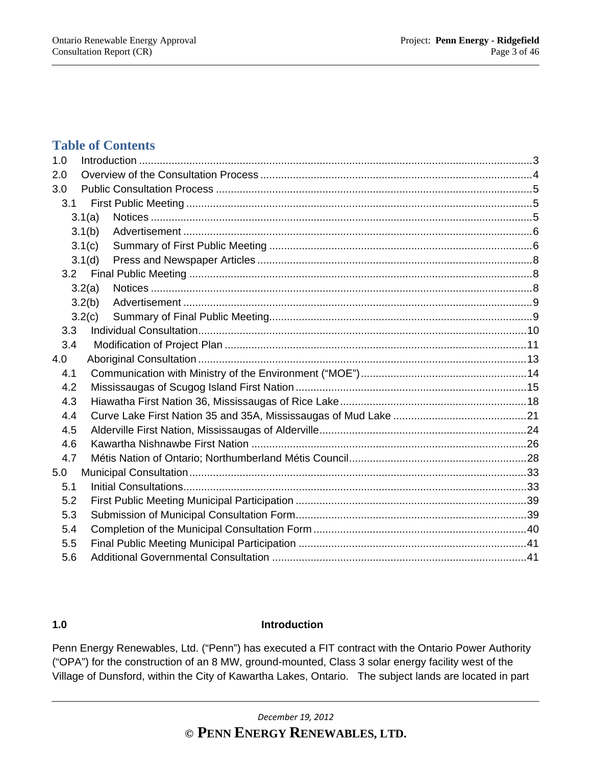# **Table of Contents**

| 1.0 |        |  |
|-----|--------|--|
| 2.0 |        |  |
| 3.0 |        |  |
| 3.1 |        |  |
|     | 3.1(a) |  |
|     | 3.1(b) |  |
|     | 3.1(c) |  |
|     | 3.1(d) |  |
|     |        |  |
|     | 3.2(a) |  |
|     | 3.2(b) |  |
|     | 3.2(c) |  |
| 3.3 |        |  |
| 3.4 |        |  |
| 4.0 |        |  |
| 4.1 |        |  |
| 4.2 |        |  |
| 4.3 |        |  |
| 4.4 |        |  |
| 4.5 |        |  |
| 4.6 |        |  |
| 4.7 |        |  |
| 5.0 |        |  |
| 5.1 |        |  |
| 5.2 |        |  |
| 5.3 |        |  |
| 5.4 |        |  |
| 5.5 |        |  |
| 5.6 |        |  |

#### **1.0 Introduction**

Penn Energy Renewables, Ltd. ("Penn") has executed a FIT contract with the Ontario Power Authority ("OPA") for the construction of an 8 MW, ground-mounted, Class 3 solar energy facility west of the Village of Dunsford, within the City of Kawartha Lakes, Ontario. The subject lands are located in part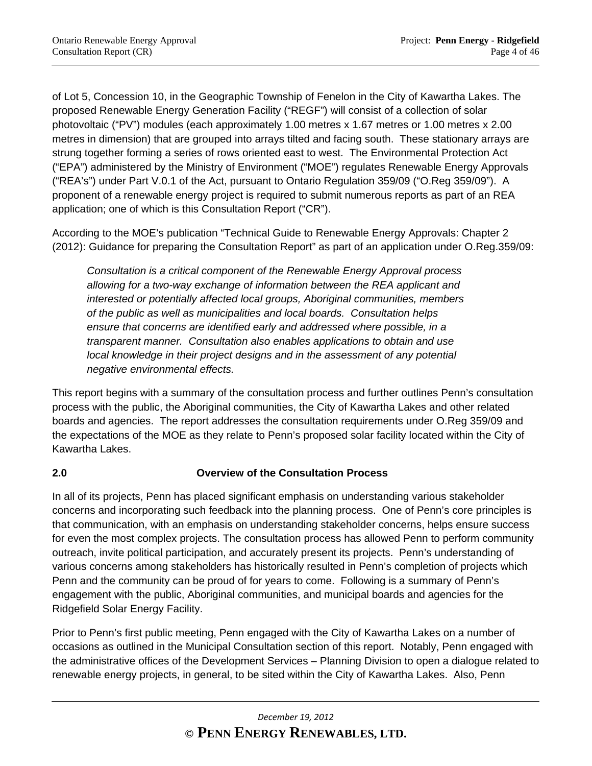of Lot 5, Concession 10, in the Geographic Township of Fenelon in the City of Kawartha Lakes. The proposed Renewable Energy Generation Facility ("REGF") will consist of a collection of solar photovoltaic ("PV") modules (each approximately 1.00 metres x 1.67 metres or 1.00 metres x 2.00 metres in dimension) that are grouped into arrays tilted and facing south. These stationary arrays are strung together forming a series of rows oriented east to west. The Environmental Protection Act ("EPA") administered by the Ministry of Environment ("MOE") regulates Renewable Energy Approvals ("REA's") under Part V.0.1 of the Act, pursuant to Ontario Regulation 359/09 ("O.Reg 359/09"). A proponent of a renewable energy project is required to submit numerous reports as part of an REA application; one of which is this Consultation Report ("CR").

According to the MOE's publication "Technical Guide to Renewable Energy Approvals: Chapter 2 (2012): Guidance for preparing the Consultation Report" as part of an application under O.Reg.359/09:

*Consultation is a critical component of the Renewable Energy Approval process allowing for a two-way exchange of information between the REA applicant and interested or potentially affected local groups, Aboriginal communities, members of the public as well as municipalities and local boards. Consultation helps ensure that concerns are identified early and addressed where possible, in a transparent manner. Consultation also enables applications to obtain and use local knowledge in their project designs and in the assessment of any potential negative environmental effects.* 

This report begins with a summary of the consultation process and further outlines Penn's consultation process with the public, the Aboriginal communities, the City of Kawartha Lakes and other related boards and agencies. The report addresses the consultation requirements under O.Reg 359/09 and the expectations of the MOE as they relate to Penn's proposed solar facility located within the City of Kawartha Lakes.

# **2.0 Overview of the Consultation Process**

In all of its projects, Penn has placed significant emphasis on understanding various stakeholder concerns and incorporating such feedback into the planning process. One of Penn's core principles is that communication, with an emphasis on understanding stakeholder concerns, helps ensure success for even the most complex projects. The consultation process has allowed Penn to perform community outreach, invite political participation, and accurately present its projects. Penn's understanding of various concerns among stakeholders has historically resulted in Penn's completion of projects which Penn and the community can be proud of for years to come. Following is a summary of Penn's engagement with the public, Aboriginal communities, and municipal boards and agencies for the Ridgefield Solar Energy Facility.

Prior to Penn's first public meeting, Penn engaged with the City of Kawartha Lakes on a number of occasions as outlined in the Municipal Consultation section of this report. Notably, Penn engaged with the administrative offices of the Development Services – Planning Division to open a dialogue related to renewable energy projects, in general, to be sited within the City of Kawartha Lakes. Also, Penn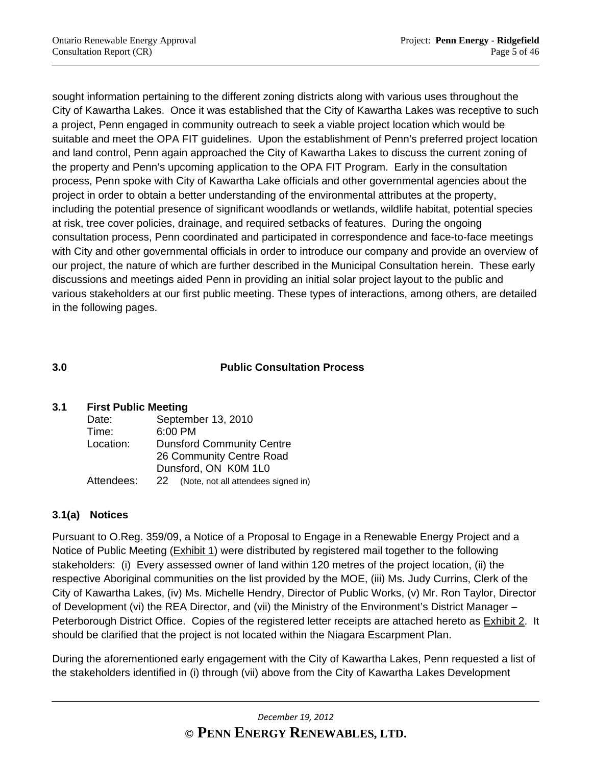sought information pertaining to the different zoning districts along with various uses throughout the City of Kawartha Lakes. Once it was established that the City of Kawartha Lakes was receptive to such a project, Penn engaged in community outreach to seek a viable project location which would be suitable and meet the OPA FIT guidelines. Upon the establishment of Penn's preferred project location and land control, Penn again approached the City of Kawartha Lakes to discuss the current zoning of the property and Penn's upcoming application to the OPA FIT Program. Early in the consultation process, Penn spoke with City of Kawartha Lake officials and other governmental agencies about the project in order to obtain a better understanding of the environmental attributes at the property, including the potential presence of significant woodlands or wetlands, wildlife habitat, potential species at risk, tree cover policies, drainage, and required setbacks of features. During the ongoing consultation process, Penn coordinated and participated in correspondence and face-to-face meetings with City and other governmental officials in order to introduce our company and provide an overview of our project, the nature of which are further described in the Municipal Consultation herein. These early discussions and meetings aided Penn in providing an initial solar project layout to the public and various stakeholders at our first public meeting. These types of interactions, among others, are detailed in the following pages.

# **3.0 Public Consultation Process**

# **3.1 First Public Meeting**

| Date:      | September 13, 2010                        |
|------------|-------------------------------------------|
| Time:      | 6:00 PM                                   |
| Location:  | <b>Dunsford Community Centre</b>          |
|            | 26 Community Centre Road                  |
|            | Dunsford, ON K0M 1L0                      |
| Attendees: | (Note, not all attendees signed in)<br>22 |
|            |                                           |

# **3.1(a) Notices**

Pursuant to O.Reg. 359/09, a Notice of a Proposal to Engage in a Renewable Energy Project and a Notice of Public Meeting (Exhibit 1) were distributed by registered mail together to the following stakeholders: (i) Every assessed owner of land within 120 metres of the project location, (ii) the respective Aboriginal communities on the list provided by the MOE, (iii) Ms. Judy Currins, Clerk of the City of Kawartha Lakes, (iv) Ms. Michelle Hendry, Director of Public Works, (v) Mr. Ron Taylor, Director of Development (vi) the REA Director, and (vii) the Ministry of the Environment's District Manager – Peterborough District Office. Copies of the registered letter receipts are attached hereto as **Exhibit 2.** It should be clarified that the project is not located within the Niagara Escarpment Plan.

During the aforementioned early engagement with the City of Kawartha Lakes, Penn requested a list of the stakeholders identified in (i) through (vii) above from the City of Kawartha Lakes Development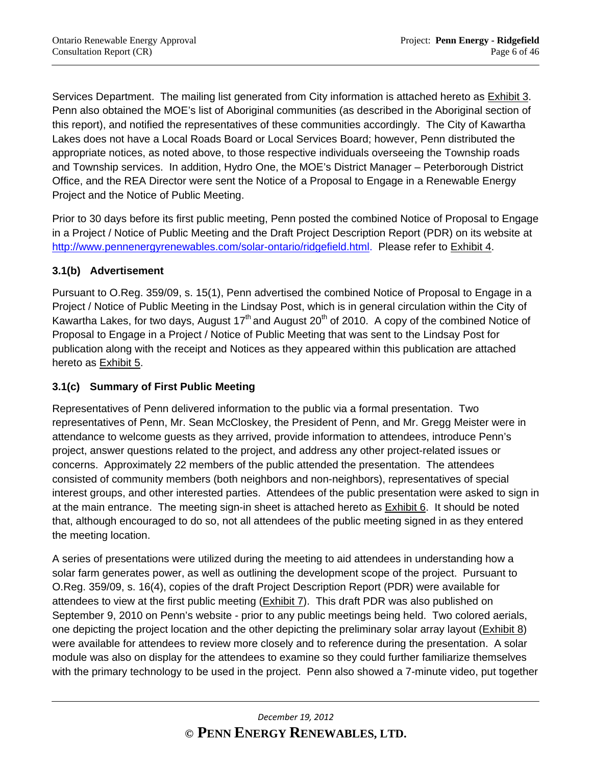Services Department. The mailing list generated from City information is attached hereto as Exhibit 3. Penn also obtained the MOE's list of Aboriginal communities (as described in the Aboriginal section of this report), and notified the representatives of these communities accordingly. The City of Kawartha Lakes does not have a Local Roads Board or Local Services Board; however, Penn distributed the appropriate notices, as noted above, to those respective individuals overseeing the Township roads and Township services. In addition, Hydro One, the MOE's District Manager – Peterborough District Office, and the REA Director were sent the Notice of a Proposal to Engage in a Renewable Energy Project and the Notice of Public Meeting.

Prior to 30 days before its first public meeting, Penn posted the combined Notice of Proposal to Engage in a Project / Notice of Public Meeting and the Draft Project Description Report (PDR) on its website at http://www.pennenergyrenewables.com/solar-ontario/ridgefield.html. Please refer to Exhibit 4.

# **3.1(b) Advertisement**

Pursuant to O.Reg. 359/09, s. 15(1), Penn advertised the combined Notice of Proposal to Engage in a Project / Notice of Public Meeting in the Lindsay Post, which is in general circulation within the City of Kawartha Lakes, for two days, August  $17<sup>th</sup>$  and August 20<sup>th</sup> of 2010. A copy of the combined Notice of Proposal to Engage in a Project / Notice of Public Meeting that was sent to the Lindsay Post for publication along with the receipt and Notices as they appeared within this publication are attached hereto as Exhibit 5.

# **3.1(c) Summary of First Public Meeting**

Representatives of Penn delivered information to the public via a formal presentation. Two representatives of Penn, Mr. Sean McCloskey, the President of Penn, and Mr. Gregg Meister were in attendance to welcome guests as they arrived, provide information to attendees, introduce Penn's project, answer questions related to the project, and address any other project-related issues or concerns. Approximately 22 members of the public attended the presentation. The attendees consisted of community members (both neighbors and non-neighbors), representatives of special interest groups, and other interested parties. Attendees of the public presentation were asked to sign in at the main entrance. The meeting sign-in sheet is attached hereto as Exhibit 6. It should be noted that, although encouraged to do so, not all attendees of the public meeting signed in as they entered the meeting location.

A series of presentations were utilized during the meeting to aid attendees in understanding how a solar farm generates power, as well as outlining the development scope of the project. Pursuant to O.Reg. 359/09, s. 16(4), copies of the draft Project Description Report (PDR) were available for attendees to view at the first public meeting (Exhibit 7). This draft PDR was also published on September 9, 2010 on Penn's website - prior to any public meetings being held. Two colored aerials, one depicting the project location and the other depicting the preliminary solar array layout (Exhibit 8) were available for attendees to review more closely and to reference during the presentation. A solar module was also on display for the attendees to examine so they could further familiarize themselves with the primary technology to be used in the project. Penn also showed a 7-minute video, put together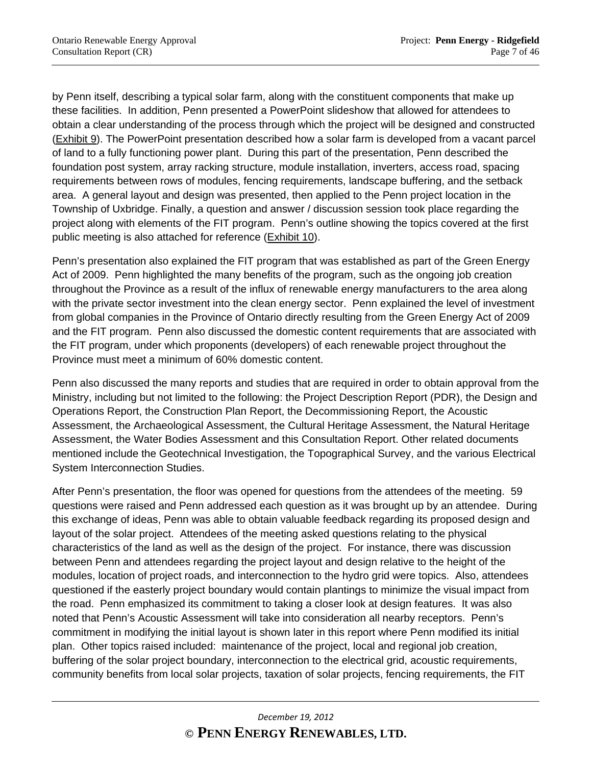by Penn itself, describing a typical solar farm, along with the constituent components that make up these facilities. In addition, Penn presented a PowerPoint slideshow that allowed for attendees to obtain a clear understanding of the process through which the project will be designed and constructed (Exhibit 9). The PowerPoint presentation described how a solar farm is developed from a vacant parcel of land to a fully functioning power plant. During this part of the presentation, Penn described the foundation post system, array racking structure, module installation, inverters, access road, spacing requirements between rows of modules, fencing requirements, landscape buffering, and the setback area. A general layout and design was presented, then applied to the Penn project location in the Township of Uxbridge. Finally, a question and answer / discussion session took place regarding the project along with elements of the FIT program. Penn's outline showing the topics covered at the first public meeting is also attached for reference (Exhibit 10).

Penn's presentation also explained the FIT program that was established as part of the Green Energy Act of 2009. Penn highlighted the many benefits of the program, such as the ongoing job creation throughout the Province as a result of the influx of renewable energy manufacturers to the area along with the private sector investment into the clean energy sector. Penn explained the level of investment from global companies in the Province of Ontario directly resulting from the Green Energy Act of 2009 and the FIT program. Penn also discussed the domestic content requirements that are associated with the FIT program, under which proponents (developers) of each renewable project throughout the Province must meet a minimum of 60% domestic content.

Penn also discussed the many reports and studies that are required in order to obtain approval from the Ministry, including but not limited to the following: the Project Description Report (PDR), the Design and Operations Report, the Construction Plan Report, the Decommissioning Report, the Acoustic Assessment, the Archaeological Assessment, the Cultural Heritage Assessment, the Natural Heritage Assessment, the Water Bodies Assessment and this Consultation Report. Other related documents mentioned include the Geotechnical Investigation, the Topographical Survey, and the various Electrical System Interconnection Studies.

After Penn's presentation, the floor was opened for questions from the attendees of the meeting. 59 questions were raised and Penn addressed each question as it was brought up by an attendee. During this exchange of ideas, Penn was able to obtain valuable feedback regarding its proposed design and layout of the solar project. Attendees of the meeting asked questions relating to the physical characteristics of the land as well as the design of the project. For instance, there was discussion between Penn and attendees regarding the project layout and design relative to the height of the modules, location of project roads, and interconnection to the hydro grid were topics. Also, attendees questioned if the easterly project boundary would contain plantings to minimize the visual impact from the road. Penn emphasized its commitment to taking a closer look at design features. It was also noted that Penn's Acoustic Assessment will take into consideration all nearby receptors. Penn's commitment in modifying the initial layout is shown later in this report where Penn modified its initial plan. Other topics raised included: maintenance of the project, local and regional job creation, buffering of the solar project boundary, interconnection to the electrical grid, acoustic requirements, community benefits from local solar projects, taxation of solar projects, fencing requirements, the FIT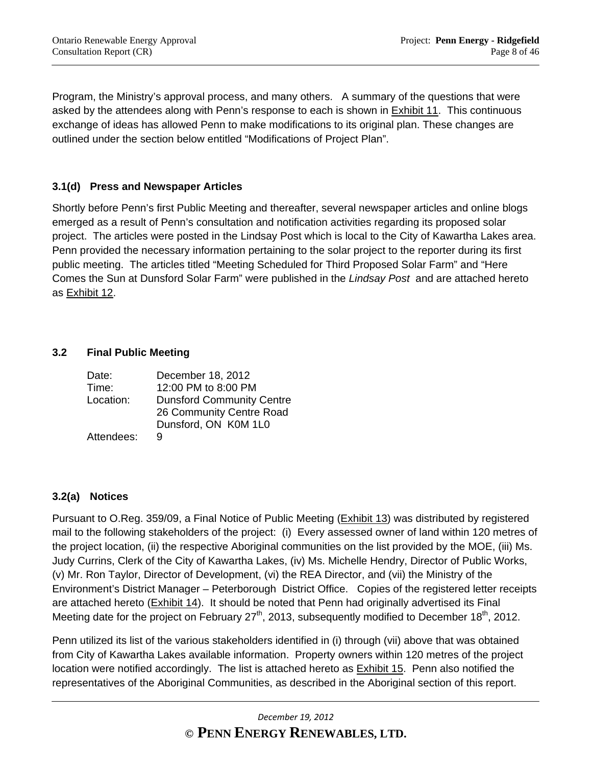Program, the Ministry's approval process, and many others. A summary of the questions that were asked by the attendees along with Penn's response to each is shown in Exhibit 11. This continuous exchange of ideas has allowed Penn to make modifications to its original plan. These changes are outlined under the section below entitled "Modifications of Project Plan".

# **3.1(d) Press and Newspaper Articles**

Shortly before Penn's first Public Meeting and thereafter, several newspaper articles and online blogs emerged as a result of Penn's consultation and notification activities regarding its proposed solar project. The articles were posted in the Lindsay Post which is local to the City of Kawartha Lakes area. Penn provided the necessary information pertaining to the solar project to the reporter during its first public meeting. The articles titled "Meeting Scheduled for Third Proposed Solar Farm" and "Here Comes the Sun at Dunsford Solar Farm" were published in the *Lindsay Post* and are attached hereto as Exhibit 12.

### **3.2 Final Public Meeting**

| Date:      | December 18, 2012                |
|------------|----------------------------------|
| Time:      | 12:00 PM to 8:00 PM              |
| Location:  | <b>Dunsford Community Centre</b> |
|            | 26 Community Centre Road         |
|            | Dunsford, ON K0M 1L0             |
| Attendees: |                                  |

# **3.2(a) Notices**

Pursuant to O.Reg. 359/09, a Final Notice of Public Meeting (Exhibit 13) was distributed by registered mail to the following stakeholders of the project: (i) Every assessed owner of land within 120 metres of the project location, (ii) the respective Aboriginal communities on the list provided by the MOE, (iii) Ms. Judy Currins, Clerk of the City of Kawartha Lakes, (iv) Ms. Michelle Hendry, Director of Public Works, (v) Mr. Ron Taylor, Director of Development, (vi) the REA Director, and (vii) the Ministry of the Environment's District Manager – Peterborough District Office. Copies of the registered letter receipts are attached hereto (Exhibit 14). It should be noted that Penn had originally advertised its Final Meeting date for the project on February 27<sup>th</sup>, 2013, subsequently modified to December 18<sup>th</sup>, 2012.

Penn utilized its list of the various stakeholders identified in (i) through (vii) above that was obtained from City of Kawartha Lakes available information. Property owners within 120 metres of the project location were notified accordingly. The list is attached hereto as Exhibit 15. Penn also notified the representatives of the Aboriginal Communities, as described in the Aboriginal section of this report.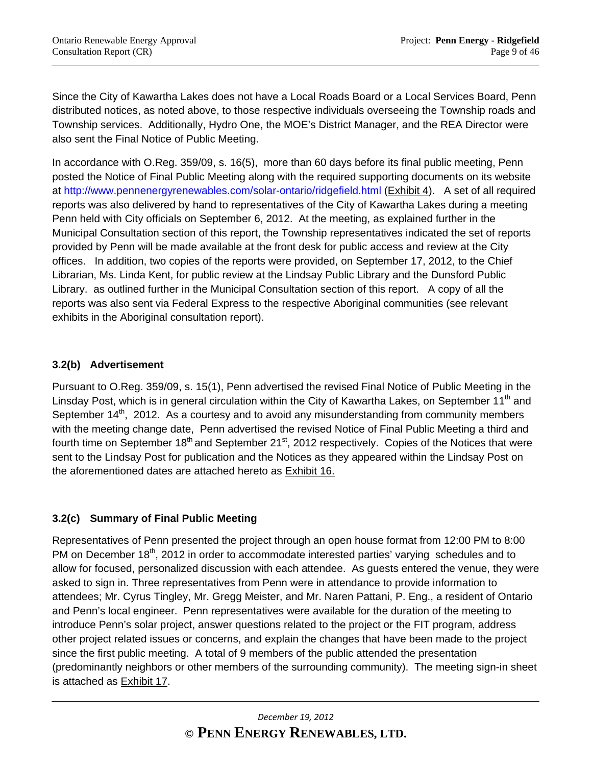Since the City of Kawartha Lakes does not have a Local Roads Board or a Local Services Board, Penn distributed notices, as noted above, to those respective individuals overseeing the Township roads and Township services. Additionally, Hydro One, the MOE's District Manager, and the REA Director were also sent the Final Notice of Public Meeting.

In accordance with O.Reg. 359/09, s. 16(5), more than 60 days before its final public meeting, Penn posted the Notice of Final Public Meeting along with the required supporting documents on its website at http://www.pennenergyrenewables.com/solar-ontario/ridgefield.html (Exhibit 4). A set of all required reports was also delivered by hand to representatives of the City of Kawartha Lakes during a meeting Penn held with City officials on September 6, 2012. At the meeting, as explained further in the Municipal Consultation section of this report, the Township representatives indicated the set of reports provided by Penn will be made available at the front desk for public access and review at the City offices. In addition, two copies of the reports were provided, on September 17, 2012, to the Chief Librarian, Ms. Linda Kent, for public review at the Lindsay Public Library and the Dunsford Public Library. as outlined further in the Municipal Consultation section of this report. A copy of all the reports was also sent via Federal Express to the respective Aboriginal communities (see relevant exhibits in the Aboriginal consultation report).

# **3.2(b) Advertisement**

Pursuant to O.Reg. 359/09, s. 15(1), Penn advertised the revised Final Notice of Public Meeting in the Linsday Post, which is in general circulation within the City of Kawartha Lakes, on September 11<sup>th</sup> and September  $14<sup>th</sup>$ , 2012. As a courtesy and to avoid any misunderstanding from community members with the meeting change date, Penn advertised the revised Notice of Final Public Meeting a third and fourth time on September  $18<sup>th</sup>$  and September 21<sup>st</sup>, 2012 respectively. Copies of the Notices that were sent to the Lindsay Post for publication and the Notices as they appeared within the Lindsay Post on the aforementioned dates are attached hereto as Exhibit 16.

# **3.2(c) Summary of Final Public Meeting**

Representatives of Penn presented the project through an open house format from 12:00 PM to 8:00 PM on December 18<sup>th</sup>, 2012 in order to accommodate interested parties' varying schedules and to allow for focused, personalized discussion with each attendee. As guests entered the venue, they were asked to sign in. Three representatives from Penn were in attendance to provide information to attendees; Mr. Cyrus Tingley, Mr. Gregg Meister, and Mr. Naren Pattani, P. Eng., a resident of Ontario and Penn's local engineer. Penn representatives were available for the duration of the meeting to introduce Penn's solar project, answer questions related to the project or the FIT program, address other project related issues or concerns, and explain the changes that have been made to the project since the first public meeting. A total of 9 members of the public attended the presentation (predominantly neighbors or other members of the surrounding community). The meeting sign-in sheet is attached as Exhibit 17.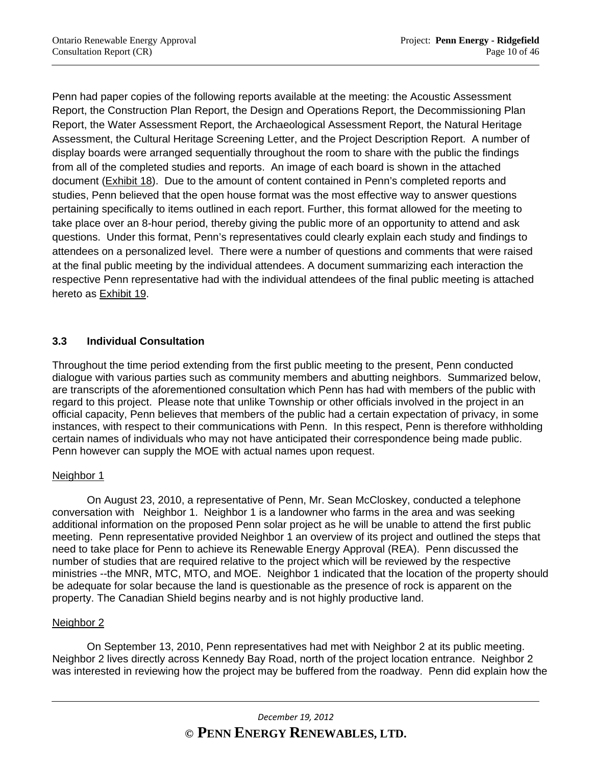Penn had paper copies of the following reports available at the meeting: the Acoustic Assessment Report, the Construction Plan Report, the Design and Operations Report, the Decommissioning Plan Report, the Water Assessment Report, the Archaeological Assessment Report, the Natural Heritage Assessment, the Cultural Heritage Screening Letter, and the Project Description Report. A number of display boards were arranged sequentially throughout the room to share with the public the findings from all of the completed studies and reports. An image of each board is shown in the attached document (Exhibit 18). Due to the amount of content contained in Penn's completed reports and studies, Penn believed that the open house format was the most effective way to answer questions pertaining specifically to items outlined in each report. Further, this format allowed for the meeting to take place over an 8-hour period, thereby giving the public more of an opportunity to attend and ask questions. Under this format, Penn's representatives could clearly explain each study and findings to attendees on a personalized level. There were a number of questions and comments that were raised at the final public meeting by the individual attendees. A document summarizing each interaction the respective Penn representative had with the individual attendees of the final public meeting is attached hereto as Exhibit 19.

# **3.3 Individual Consultation**

Throughout the time period extending from the first public meeting to the present, Penn conducted dialogue with various parties such as community members and abutting neighbors. Summarized below, are transcripts of the aforementioned consultation which Penn has had with members of the public with regard to this project. Please note that unlike Township or other officials involved in the project in an official capacity, Penn believes that members of the public had a certain expectation of privacy, in some instances, with respect to their communications with Penn. In this respect, Penn is therefore withholding certain names of individuals who may not have anticipated their correspondence being made public. Penn however can supply the MOE with actual names upon request.

# Neighbor 1

On August 23, 2010, a representative of Penn, Mr. Sean McCloskey, conducted a telephone conversation with Neighbor 1. Neighbor 1 is a landowner who farms in the area and was seeking additional information on the proposed Penn solar project as he will be unable to attend the first public meeting. Penn representative provided Neighbor 1 an overview of its project and outlined the steps that need to take place for Penn to achieve its Renewable Energy Approval (REA). Penn discussed the number of studies that are required relative to the project which will be reviewed by the respective ministries --the MNR, MTC, MTO, and MOE. Neighbor 1 indicated that the location of the property should be adequate for solar because the land is questionable as the presence of rock is apparent on the property. The Canadian Shield begins nearby and is not highly productive land.

#### Neighbor 2

 On September 13, 2010, Penn representatives had met with Neighbor 2 at its public meeting. Neighbor 2 lives directly across Kennedy Bay Road, north of the project location entrance. Neighbor 2 was interested in reviewing how the project may be buffered from the roadway. Penn did explain how the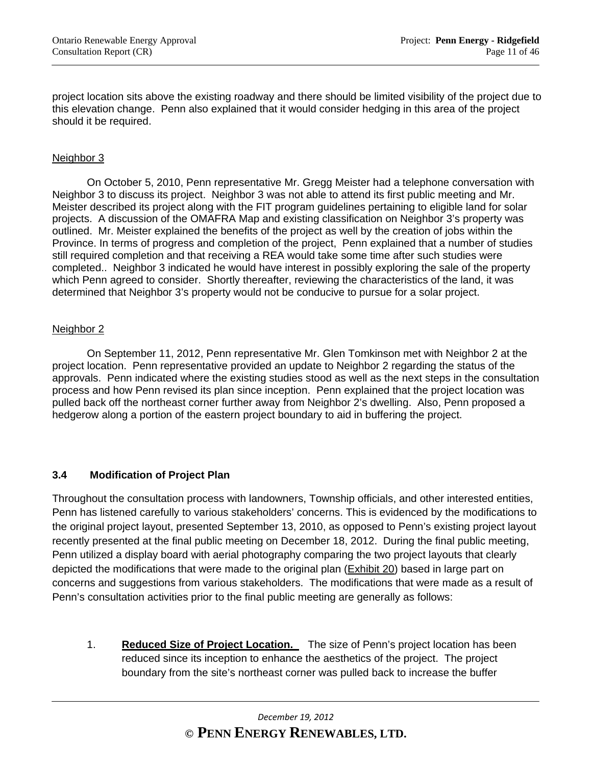project location sits above the existing roadway and there should be limited visibility of the project due to this elevation change. Penn also explained that it would consider hedging in this area of the project should it be required.

#### Neighbor 3

 On October 5, 2010, Penn representative Mr. Gregg Meister had a telephone conversation with Neighbor 3 to discuss its project. Neighbor 3 was not able to attend its first public meeting and Mr. Meister described its project along with the FIT program guidelines pertaining to eligible land for solar projects. A discussion of the OMAFRA Map and existing classification on Neighbor 3's property was outlined. Mr. Meister explained the benefits of the project as well by the creation of jobs within the Province. In terms of progress and completion of the project, Penn explained that a number of studies still required completion and that receiving a REA would take some time after such studies were completed.. Neighbor 3 indicated he would have interest in possibly exploring the sale of the property which Penn agreed to consider. Shortly thereafter, reviewing the characteristics of the land, it was determined that Neighbor 3's property would not be conducive to pursue for a solar project.

#### Neighbor 2

 On September 11, 2012, Penn representative Mr. Glen Tomkinson met with Neighbor 2 at the project location. Penn representative provided an update to Neighbor 2 regarding the status of the approvals. Penn indicated where the existing studies stood as well as the next steps in the consultation process and how Penn revised its plan since inception. Penn explained that the project location was pulled back off the northeast corner further away from Neighbor 2's dwelling. Also, Penn proposed a hedgerow along a portion of the eastern project boundary to aid in buffering the project.

#### **3.4 Modification of Project Plan**

Throughout the consultation process with landowners, Township officials, and other interested entities, Penn has listened carefully to various stakeholders' concerns. This is evidenced by the modifications to the original project layout, presented September 13, 2010, as opposed to Penn's existing project layout recently presented at the final public meeting on December 18, 2012. During the final public meeting, Penn utilized a display board with aerial photography comparing the two project layouts that clearly depicted the modifications that were made to the original plan (Exhibit 20) based in large part on concerns and suggestions from various stakeholders. The modifications that were made as a result of Penn's consultation activities prior to the final public meeting are generally as follows:

1. **Reduced Size of Project Location.** The size of Penn's project location has been reduced since its inception to enhance the aesthetics of the project. The project boundary from the site's northeast corner was pulled back to increase the buffer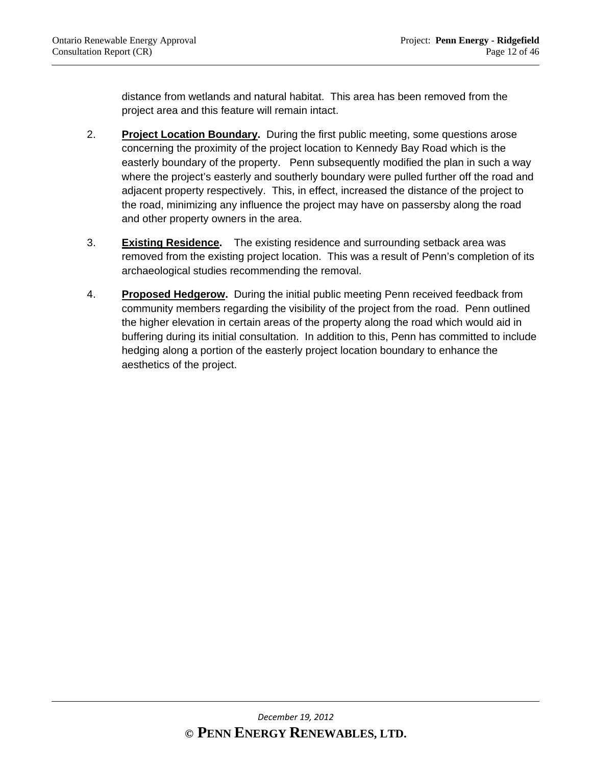distance from wetlands and natural habitat. This area has been removed from the project area and this feature will remain intact.

- 2. **Project Location Boundary.** During the first public meeting, some questions arose concerning the proximity of the project location to Kennedy Bay Road which is the easterly boundary of the property. Penn subsequently modified the plan in such a way where the project's easterly and southerly boundary were pulled further off the road and adjacent property respectively. This, in effect, increased the distance of the project to the road, minimizing any influence the project may have on passersby along the road and other property owners in the area.
- 3. **Existing Residence.** The existing residence and surrounding setback area was removed from the existing project location. This was a result of Penn's completion of its archaeological studies recommending the removal.
- 4. **Proposed Hedgerow.** During the initial public meeting Penn received feedback from community members regarding the visibility of the project from the road. Penn outlined the higher elevation in certain areas of the property along the road which would aid in buffering during its initial consultation. In addition to this, Penn has committed to include hedging along a portion of the easterly project location boundary to enhance the aesthetics of the project.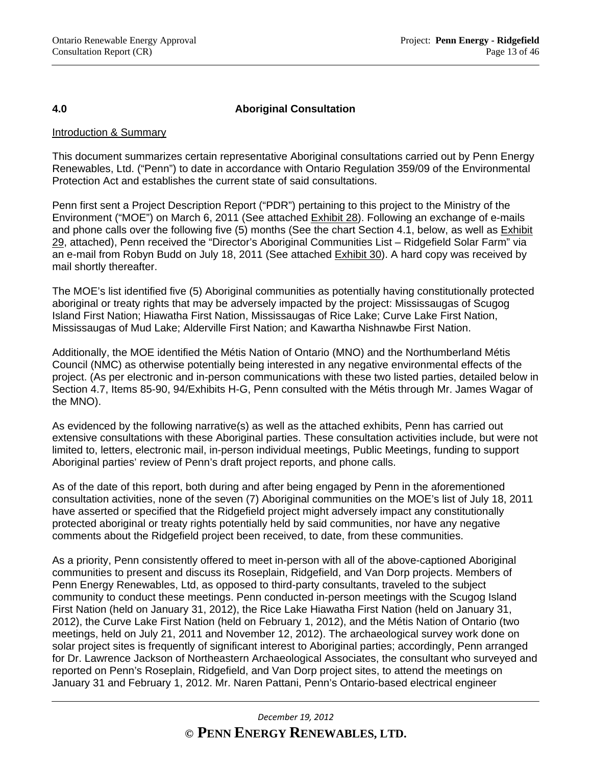#### **4.0 Aboriginal Consultation**

#### Introduction & Summary

This document summarizes certain representative Aboriginal consultations carried out by Penn Energy Renewables, Ltd. ("Penn") to date in accordance with Ontario Regulation 359/09 of the Environmental Protection Act and establishes the current state of said consultations.

Penn first sent a Project Description Report ("PDR") pertaining to this project to the Ministry of the Environment ("MOE") on March 6, 2011 (See attached **Exhibit 28**). Following an exchange of e-mails and phone calls over the following five (5) months (See the chart Section 4.1, below, as well as Exhibit 29, attached), Penn received the "Director's Aboriginal Communities List – Ridgefield Solar Farm" via an e-mail from Robyn Budd on July 18, 2011 (See attached Exhibit 30). A hard copy was received by mail shortly thereafter.

The MOE's list identified five (5) Aboriginal communities as potentially having constitutionally protected aboriginal or treaty rights that may be adversely impacted by the project: Mississaugas of Scugog Island First Nation; Hiawatha First Nation, Mississaugas of Rice Lake; Curve Lake First Nation, Mississaugas of Mud Lake; Alderville First Nation; and Kawartha Nishnawbe First Nation.

Additionally, the MOE identified the Métis Nation of Ontario (MNO) and the Northumberland Métis Council (NMC) as otherwise potentially being interested in any negative environmental effects of the project. (As per electronic and in-person communications with these two listed parties, detailed below in Section 4.7, Items 85-90, 94/Exhibits H-G, Penn consulted with the Métis through Mr. James Wagar of the MNO).

As evidenced by the following narrative(s) as well as the attached exhibits, Penn has carried out extensive consultations with these Aboriginal parties. These consultation activities include, but were not limited to, letters, electronic mail, in-person individual meetings, Public Meetings, funding to support Aboriginal parties' review of Penn's draft project reports, and phone calls.

As of the date of this report, both during and after being engaged by Penn in the aforementioned consultation activities, none of the seven (7) Aboriginal communities on the MOE's list of July 18, 2011 have asserted or specified that the Ridgefield project might adversely impact any constitutionally protected aboriginal or treaty rights potentially held by said communities, nor have any negative comments about the Ridgefield project been received, to date, from these communities.

As a priority, Penn consistently offered to meet in-person with all of the above-captioned Aboriginal communities to present and discuss its Roseplain, Ridgefield, and Van Dorp projects. Members of Penn Energy Renewables, Ltd, as opposed to third-party consultants, traveled to the subject community to conduct these meetings. Penn conducted in-person meetings with the Scugog Island First Nation (held on January 31, 2012), the Rice Lake Hiawatha First Nation (held on January 31, 2012), the Curve Lake First Nation (held on February 1, 2012), and the Métis Nation of Ontario (two meetings, held on July 21, 2011 and November 12, 2012). The archaeological survey work done on solar project sites is frequently of significant interest to Aboriginal parties; accordingly, Penn arranged for Dr. Lawrence Jackson of Northeastern Archaeological Associates, the consultant who surveyed and reported on Penn's Roseplain, Ridgefield, and Van Dorp project sites, to attend the meetings on January 31 and February 1, 2012. Mr. Naren Pattani, Penn's Ontario-based electrical engineer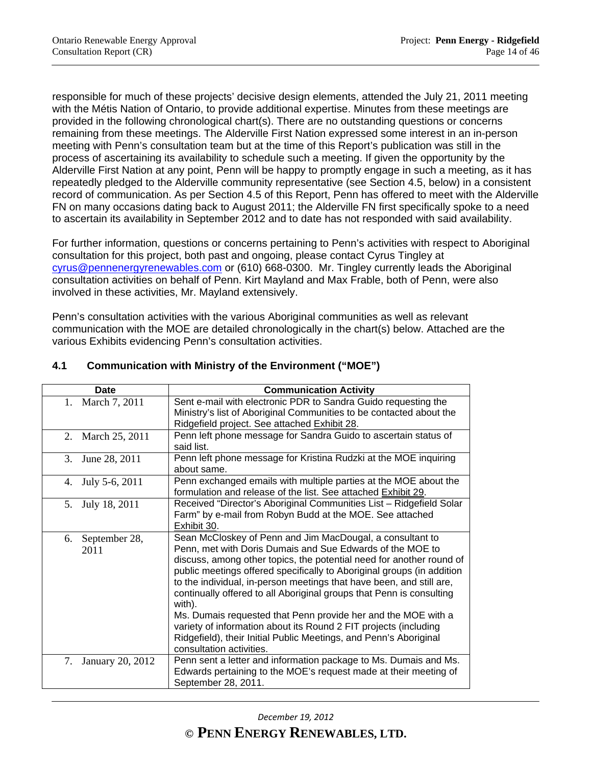responsible for much of these projects' decisive design elements, attended the July 21, 2011 meeting with the Métis Nation of Ontario, to provide additional expertise. Minutes from these meetings are provided in the following chronological chart(s). There are no outstanding questions or concerns remaining from these meetings. The Alderville First Nation expressed some interest in an in-person meeting with Penn's consultation team but at the time of this Report's publication was still in the process of ascertaining its availability to schedule such a meeting. If given the opportunity by the Alderville First Nation at any point, Penn will be happy to promptly engage in such a meeting, as it has repeatedly pledged to the Alderville community representative (see Section 4.5, below) in a consistent record of communication. As per Section 4.5 of this Report, Penn has offered to meet with the Alderville FN on many occasions dating back to August 2011; the Alderville FN first specifically spoke to a need to ascertain its availability in September 2012 and to date has not responded with said availability.

For further information, questions or concerns pertaining to Penn's activities with respect to Aboriginal consultation for this project, both past and ongoing, please contact Cyrus Tingley at cyrus@pennenergyrenewables.com or (610) 668-0300. Mr. Tingley currently leads the Aboriginal consultation activities on behalf of Penn. Kirt Mayland and Max Frable, both of Penn, were also involved in these activities, Mr. Mayland extensively.

Penn's consultation activities with the various Aboriginal communities as well as relevant communication with the MOE are detailed chronologically in the chart(s) below. Attached are the various Exhibits evidencing Penn's consultation activities.

| Date                        | <b>Communication Activity</b>                                                                                                                                                                                                                                                                                                                                                                                                                                                                                                                                                                                                                                            |
|-----------------------------|--------------------------------------------------------------------------------------------------------------------------------------------------------------------------------------------------------------------------------------------------------------------------------------------------------------------------------------------------------------------------------------------------------------------------------------------------------------------------------------------------------------------------------------------------------------------------------------------------------------------------------------------------------------------------|
| March 7, 2011<br>1.         | Sent e-mail with electronic PDR to Sandra Guido requesting the<br>Ministry's list of Aboriginal Communities to be contacted about the<br>Ridgefield project. See attached Exhibit 28.                                                                                                                                                                                                                                                                                                                                                                                                                                                                                    |
| March 25, 2011<br>2.        | Penn left phone message for Sandra Guido to ascertain status of<br>said list.                                                                                                                                                                                                                                                                                                                                                                                                                                                                                                                                                                                            |
| 3.<br>June 28, 2011         | Penn left phone message for Kristina Rudzki at the MOE inquiring<br>about same.                                                                                                                                                                                                                                                                                                                                                                                                                                                                                                                                                                                          |
| July 5-6, 2011<br>4.        | Penn exchanged emails with multiple parties at the MOE about the<br>formulation and release of the list. See attached Exhibit 29.                                                                                                                                                                                                                                                                                                                                                                                                                                                                                                                                        |
| July 18, 2011<br>5.         | Received "Director's Aboriginal Communities List - Ridgefield Solar<br>Farm" by e-mail from Robyn Budd at the MOE. See attached<br>Exhibit 30.                                                                                                                                                                                                                                                                                                                                                                                                                                                                                                                           |
| September 28,<br>6.<br>2011 | Sean McCloskey of Penn and Jim MacDougal, a consultant to<br>Penn, met with Doris Dumais and Sue Edwards of the MOE to<br>discuss, among other topics, the potential need for another round of<br>public meetings offered specifically to Aboriginal groups (in addition<br>to the individual, in-person meetings that have been, and still are,<br>continually offered to all Aboriginal groups that Penn is consulting<br>with).<br>Ms. Dumais requested that Penn provide her and the MOE with a<br>variety of information about its Round 2 FIT projects (including<br>Ridgefield), their Initial Public Meetings, and Penn's Aboriginal<br>consultation activities. |
| January 20, 2012<br>7.      | Penn sent a letter and information package to Ms. Dumais and Ms.<br>Edwards pertaining to the MOE's request made at their meeting of<br>September 28, 2011.                                                                                                                                                                                                                                                                                                                                                                                                                                                                                                              |

# **4.1 Communication with Ministry of the Environment ("MOE")**

*December 19, 2012*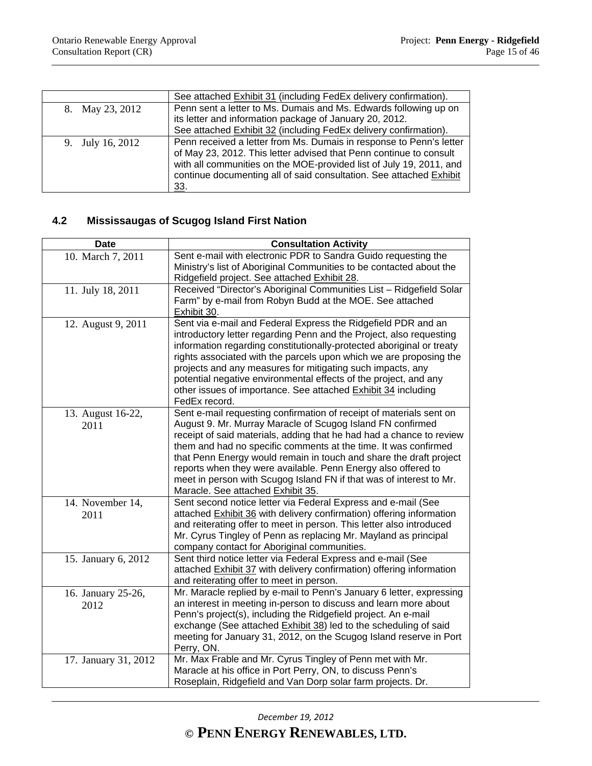|                  | See attached Exhibit 31 (including FedEx delivery confirmation).                                                                                                                                                                                                                               |
|------------------|------------------------------------------------------------------------------------------------------------------------------------------------------------------------------------------------------------------------------------------------------------------------------------------------|
| 8. May 23, 2012  | Penn sent a letter to Ms. Dumais and Ms. Edwards following up on                                                                                                                                                                                                                               |
|                  | its letter and information package of January 20, 2012.                                                                                                                                                                                                                                        |
|                  | See attached Exhibit 32 (including FedEx delivery confirmation).                                                                                                                                                                                                                               |
| 9. July 16, 2012 | Penn received a letter from Ms. Dumais in response to Penn's letter<br>of May 23, 2012. This letter advised that Penn continue to consult<br>with all communities on the MOE-provided list of July 19, 2011, and<br>continue documenting all of said consultation. See attached Exhibit<br>33. |

# **4.2 Mississaugas of Scugog Island First Nation**

| <b>Date</b>                | <b>Consultation Activity</b>                                                                                                                                                                                                                                                                                                                                                                                                                                                                                                    |
|----------------------------|---------------------------------------------------------------------------------------------------------------------------------------------------------------------------------------------------------------------------------------------------------------------------------------------------------------------------------------------------------------------------------------------------------------------------------------------------------------------------------------------------------------------------------|
| 10. March 7, 2011          | Sent e-mail with electronic PDR to Sandra Guido requesting the<br>Ministry's list of Aboriginal Communities to be contacted about the<br>Ridgefield project. See attached Exhibit 28.                                                                                                                                                                                                                                                                                                                                           |
| 11. July 18, 2011          | Received "Director's Aboriginal Communities List - Ridgefield Solar<br>Farm" by e-mail from Robyn Budd at the MOE. See attached<br>Exhibit 30.                                                                                                                                                                                                                                                                                                                                                                                  |
| 12. August 9, 2011         | Sent via e-mail and Federal Express the Ridgefield PDR and an<br>introductory letter regarding Penn and the Project, also requesting<br>information regarding constitutionally-protected aboriginal or treaty<br>rights associated with the parcels upon which we are proposing the<br>projects and any measures for mitigating such impacts, any<br>potential negative environmental effects of the project, and any<br>other issues of importance. See attached Exhibit 34 including<br>FedEx record.                         |
| 13. August 16-22,<br>2011  | Sent e-mail requesting confirmation of receipt of materials sent on<br>August 9. Mr. Murray Maracle of Scugog Island FN confirmed<br>receipt of said materials, adding that he had had a chance to review<br>them and had no specific comments at the time. It was confirmed<br>that Penn Energy would remain in touch and share the draft project<br>reports when they were available. Penn Energy also offered to<br>meet in person with Scugog Island FN if that was of interest to Mr.<br>Maracle. See attached Exhibit 35. |
| 14. November 14,<br>2011   | Sent second notice letter via Federal Express and e-mail (See<br>attached Exhibit 36 with delivery confirmation) offering information<br>and reiterating offer to meet in person. This letter also introduced<br>Mr. Cyrus Tingley of Penn as replacing Mr. Mayland as principal<br>company contact for Aboriginal communities.                                                                                                                                                                                                 |
| 15. January 6, 2012        | Sent third notice letter via Federal Express and e-mail (See<br>attached Exhibit 37 with delivery confirmation) offering information<br>and reiterating offer to meet in person.                                                                                                                                                                                                                                                                                                                                                |
| 16. January 25-26,<br>2012 | Mr. Maracle replied by e-mail to Penn's January 6 letter, expressing<br>an interest in meeting in-person to discuss and learn more about<br>Penn's project(s), including the Ridgefield project. An e-mail<br>exchange (See attached Exhibit 38) led to the scheduling of said<br>meeting for January 31, 2012, on the Scugog Island reserve in Port<br>Perry, ON.                                                                                                                                                              |
| 17. January 31, 2012       | Mr. Max Frable and Mr. Cyrus Tingley of Penn met with Mr.<br>Maracle at his office in Port Perry, ON, to discuss Penn's<br>Roseplain, Ridgefield and Van Dorp solar farm projects. Dr.                                                                                                                                                                                                                                                                                                                                          |

*December 19, 2012*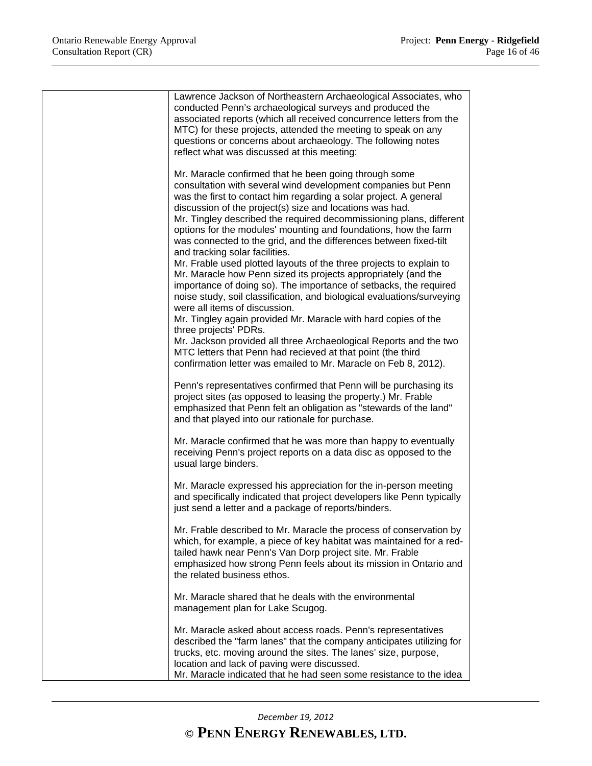| Lawrence Jackson of Northeastern Archaeological Associates, who                                                                                                                                                                                                                                                                                                                                                                                                                                                                                                                                                                                                                                                                                                                                                                                                                                                                                                                                                                                                                                                                     |
|-------------------------------------------------------------------------------------------------------------------------------------------------------------------------------------------------------------------------------------------------------------------------------------------------------------------------------------------------------------------------------------------------------------------------------------------------------------------------------------------------------------------------------------------------------------------------------------------------------------------------------------------------------------------------------------------------------------------------------------------------------------------------------------------------------------------------------------------------------------------------------------------------------------------------------------------------------------------------------------------------------------------------------------------------------------------------------------------------------------------------------------|
| conducted Penn's archaeological surveys and produced the<br>associated reports (which all received concurrence letters from the<br>MTC) for these projects, attended the meeting to speak on any<br>questions or concerns about archaeology. The following notes<br>reflect what was discussed at this meeting:                                                                                                                                                                                                                                                                                                                                                                                                                                                                                                                                                                                                                                                                                                                                                                                                                     |
| Mr. Maracle confirmed that he been going through some<br>consultation with several wind development companies but Penn<br>was the first to contact him regarding a solar project. A general<br>discussion of the project(s) size and locations was had.<br>Mr. Tingley described the required decommissioning plans, different<br>options for the modules' mounting and foundations, how the farm<br>was connected to the grid, and the differences between fixed-tilt<br>and tracking solar facilities.<br>Mr. Frable used plotted layouts of the three projects to explain to<br>Mr. Maracle how Penn sized its projects appropriately (and the<br>importance of doing so). The importance of setbacks, the required<br>noise study, soil classification, and biological evaluations/surveying<br>were all items of discussion.<br>Mr. Tingley again provided Mr. Maracle with hard copies of the<br>three projects' PDRs.<br>Mr. Jackson provided all three Archaeological Reports and the two<br>MTC letters that Penn had recieved at that point (the third<br>confirmation letter was emailed to Mr. Maracle on Feb 8, 2012). |
| Penn's representatives confirmed that Penn will be purchasing its<br>project sites (as opposed to leasing the property.) Mr. Frable<br>emphasized that Penn felt an obligation as "stewards of the land"<br>and that played into our rationale for purchase.                                                                                                                                                                                                                                                                                                                                                                                                                                                                                                                                                                                                                                                                                                                                                                                                                                                                        |
| Mr. Maracle confirmed that he was more than happy to eventually<br>receiving Penn's project reports on a data disc as opposed to the<br>usual large binders.                                                                                                                                                                                                                                                                                                                                                                                                                                                                                                                                                                                                                                                                                                                                                                                                                                                                                                                                                                        |
| Mr. Maracle expressed his appreciation for the in-person meeting<br>and specifically indicated that project developers like Penn typically<br>just send a letter and a package of reports/binders.                                                                                                                                                                                                                                                                                                                                                                                                                                                                                                                                                                                                                                                                                                                                                                                                                                                                                                                                  |
| Mr. Frable described to Mr. Maracle the process of conservation by<br>which, for example, a piece of key habitat was maintained for a red-<br>tailed hawk near Penn's Van Dorp project site. Mr. Frable<br>emphasized how strong Penn feels about its mission in Ontario and<br>the related business ethos.                                                                                                                                                                                                                                                                                                                                                                                                                                                                                                                                                                                                                                                                                                                                                                                                                         |
| Mr. Maracle shared that he deals with the environmental<br>management plan for Lake Scugog.                                                                                                                                                                                                                                                                                                                                                                                                                                                                                                                                                                                                                                                                                                                                                                                                                                                                                                                                                                                                                                         |
| Mr. Maracle asked about access roads. Penn's representatives<br>described the "farm lanes" that the company anticipates utilizing for<br>trucks, etc. moving around the sites. The lanes' size, purpose,<br>location and lack of paving were discussed.<br>Mr. Maracle indicated that he had seen some resistance to the idea                                                                                                                                                                                                                                                                                                                                                                                                                                                                                                                                                                                                                                                                                                                                                                                                       |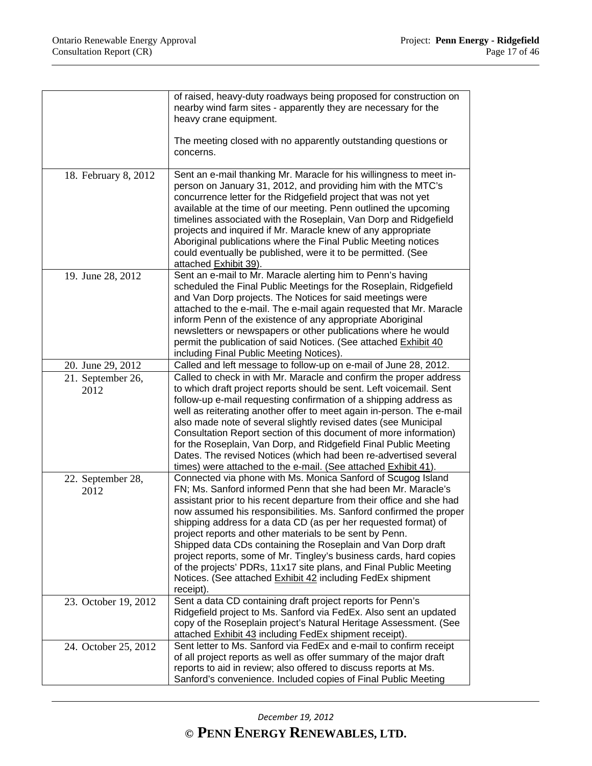|                           | of raised, heavy-duty roadways being proposed for construction on<br>nearby wind farm sites - apparently they are necessary for the<br>heavy crane equipment.                                                                                                                                                                                                                                                                                                                                                                                                                                                                                                                                    |
|---------------------------|--------------------------------------------------------------------------------------------------------------------------------------------------------------------------------------------------------------------------------------------------------------------------------------------------------------------------------------------------------------------------------------------------------------------------------------------------------------------------------------------------------------------------------------------------------------------------------------------------------------------------------------------------------------------------------------------------|
|                           | The meeting closed with no apparently outstanding questions or<br>concerns.                                                                                                                                                                                                                                                                                                                                                                                                                                                                                                                                                                                                                      |
| 18. February 8, 2012      | Sent an e-mail thanking Mr. Maracle for his willingness to meet in-<br>person on January 31, 2012, and providing him with the MTC's<br>concurrence letter for the Ridgefield project that was not yet<br>available at the time of our meeting. Penn outlined the upcoming<br>timelines associated with the Roseplain, Van Dorp and Ridgefield<br>projects and inquired if Mr. Maracle knew of any appropriate<br>Aboriginal publications where the Final Public Meeting notices<br>could eventually be published, were it to be permitted. (See<br>attached Exhibit 39).                                                                                                                         |
| 19. June 28, 2012         | Sent an e-mail to Mr. Maracle alerting him to Penn's having<br>scheduled the Final Public Meetings for the Roseplain, Ridgefield<br>and Van Dorp projects. The Notices for said meetings were<br>attached to the e-mail. The e-mail again requested that Mr. Maracle<br>inform Penn of the existence of any appropriate Aboriginal<br>newsletters or newspapers or other publications where he would<br>permit the publication of said Notices. (See attached Exhibit 40<br>including Final Public Meeting Notices).                                                                                                                                                                             |
| 20. June 29, 2012         | Called and left message to follow-up on e-mail of June 28, 2012.                                                                                                                                                                                                                                                                                                                                                                                                                                                                                                                                                                                                                                 |
| 21. September 26,<br>2012 | Called to check in with Mr. Maracle and confirm the proper address<br>to which draft project reports should be sent. Left voicemail. Sent<br>follow-up e-mail requesting confirmation of a shipping address as<br>well as reiterating another offer to meet again in-person. The e-mail<br>also made note of several slightly revised dates (see Municipal<br>Consultation Report section of this document of more information)<br>for the Roseplain, Van Dorp, and Ridgefield Final Public Meeting<br>Dates. The revised Notices (which had been re-advertised several<br>times) were attached to the e-mail. (See attached Exhibit 41).                                                        |
| 22. September 28,<br>2012 | Connected via phone with Ms. Monica Sanford of Scugog Island<br>FN; Ms. Sanford informed Penn that she had been Mr. Maracle's<br>assistant prior to his recent departure from their office and she had<br>now assumed his responsibilities. Ms. Sanford confirmed the proper<br>shipping address for a data CD (as per her requested format) of<br>project reports and other materials to be sent by Penn.<br>Shipped data CDs containing the Roseplain and Van Dorp draft<br>project reports, some of Mr. Tingley's business cards, hard copies<br>of the projects' PDRs, 11x17 site plans, and Final Public Meeting<br>Notices. (See attached Exhibit 42 including FedEx shipment<br>receipt). |
| 23. October 19, 2012      | Sent a data CD containing draft project reports for Penn's<br>Ridgefield project to Ms. Sanford via FedEx. Also sent an updated<br>copy of the Roseplain project's Natural Heritage Assessment. (See<br>attached <b>Exhibit 43</b> including FedEx shipment receipt).                                                                                                                                                                                                                                                                                                                                                                                                                            |
| 24. October 25, 2012      | Sent letter to Ms. Sanford via FedEx and e-mail to confirm receipt<br>of all project reports as well as offer summary of the major draft<br>reports to aid in review; also offered to discuss reports at Ms.<br>Sanford's convenience. Included copies of Final Public Meeting                                                                                                                                                                                                                                                                                                                                                                                                                   |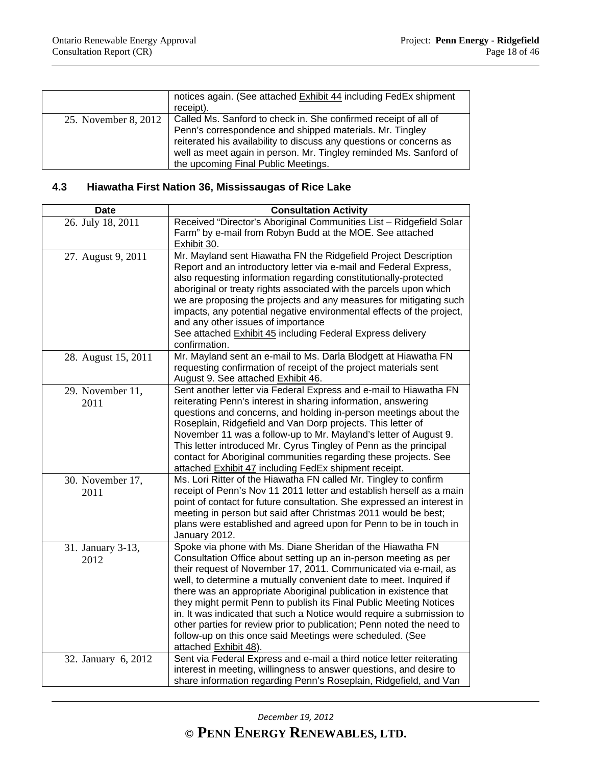|                      | notices again. (See attached Exhibit 44 including FedEx shipment<br>receipt).                                                                                                                                                                                                                                  |
|----------------------|----------------------------------------------------------------------------------------------------------------------------------------------------------------------------------------------------------------------------------------------------------------------------------------------------------------|
| 25. November 8, 2012 | Called Ms. Sanford to check in. She confirmed receipt of all of<br>Penn's correspondence and shipped materials. Mr. Tingley<br>reiterated his availability to discuss any questions or concerns as<br>well as meet again in person. Mr. Tingley reminded Ms. Sanford of<br>the upcoming Final Public Meetings. |

### **4.3 Hiawatha First Nation 36, Mississaugas of Rice Lake**

| <b>Date</b>               | <b>Consultation Activity</b>                                                                                                                                                                                                                                                                                                                                                                                                                                                                                                                                                                                                                               |
|---------------------------|------------------------------------------------------------------------------------------------------------------------------------------------------------------------------------------------------------------------------------------------------------------------------------------------------------------------------------------------------------------------------------------------------------------------------------------------------------------------------------------------------------------------------------------------------------------------------------------------------------------------------------------------------------|
| 26. July 18, 2011         | Received "Director's Aboriginal Communities List - Ridgefield Solar<br>Farm" by e-mail from Robyn Budd at the MOE. See attached<br>Exhibit 30.                                                                                                                                                                                                                                                                                                                                                                                                                                                                                                             |
| 27. August 9, 2011        | Mr. Mayland sent Hiawatha FN the Ridgefield Project Description<br>Report and an introductory letter via e-mail and Federal Express,<br>also requesting information regarding constitutionally-protected<br>aboriginal or treaty rights associated with the parcels upon which<br>we are proposing the projects and any measures for mitigating such<br>impacts, any potential negative environmental effects of the project,<br>and any other issues of importance<br>See attached Exhibit 45 including Federal Express delivery<br>confirmation.                                                                                                         |
| 28. August 15, 2011       | Mr. Mayland sent an e-mail to Ms. Darla Blodgett at Hiawatha FN<br>requesting confirmation of receipt of the project materials sent<br>August 9. See attached Exhibit 46.                                                                                                                                                                                                                                                                                                                                                                                                                                                                                  |
| 29. November 11,<br>2011  | Sent another letter via Federal Express and e-mail to Hiawatha FN<br>reiterating Penn's interest in sharing information, answering<br>questions and concerns, and holding in-person meetings about the<br>Roseplain, Ridgefield and Van Dorp projects. This letter of<br>November 11 was a follow-up to Mr. Mayland's letter of August 9.<br>This letter introduced Mr. Cyrus Tingley of Penn as the principal<br>contact for Aboriginal communities regarding these projects. See<br>attached Exhibit 47 including FedEx shipment receipt.                                                                                                                |
| 30. November 17,<br>2011  | Ms. Lori Ritter of the Hiawatha FN called Mr. Tingley to confirm<br>receipt of Penn's Nov 11 2011 letter and establish herself as a main<br>point of contact for future consultation. She expressed an interest in<br>meeting in person but said after Christmas 2011 would be best;<br>plans were established and agreed upon for Penn to be in touch in<br>January 2012.                                                                                                                                                                                                                                                                                 |
| 31. January 3-13,<br>2012 | Spoke via phone with Ms. Diane Sheridan of the Hiawatha FN<br>Consultation Office about setting up an in-person meeting as per<br>their request of November 17, 2011. Communicated via e-mail, as<br>well, to determine a mutually convenient date to meet. Inquired if<br>there was an appropriate Aboriginal publication in existence that<br>they might permit Penn to publish its Final Public Meeting Notices<br>in. It was indicated that such a Notice would require a submission to<br>other parties for review prior to publication; Penn noted the need to<br>follow-up on this once said Meetings were scheduled. (See<br>attached Exhibit 48). |
| 32. January 6, 2012       | Sent via Federal Express and e-mail a third notice letter reiterating<br>interest in meeting, willingness to answer questions, and desire to<br>share information regarding Penn's Roseplain, Ridgefield, and Van                                                                                                                                                                                                                                                                                                                                                                                                                                          |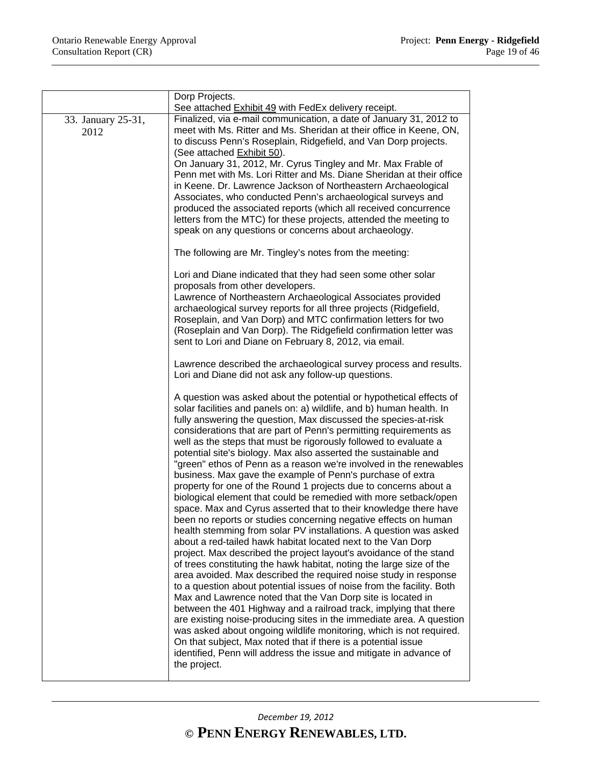|                            | Dorp Projects.<br>See attached Exhibit 49 with FedEx delivery receipt.                                                                                                                                                                                                                                                                                                                                                                                                                                                                                                                                                                                                                                                                                                                                                                                                                                                                                                                                                                                                                                                                                                                                                                                                                                                                                                                                                                                                                                                                                                                                                                                                                                                  |
|----------------------------|-------------------------------------------------------------------------------------------------------------------------------------------------------------------------------------------------------------------------------------------------------------------------------------------------------------------------------------------------------------------------------------------------------------------------------------------------------------------------------------------------------------------------------------------------------------------------------------------------------------------------------------------------------------------------------------------------------------------------------------------------------------------------------------------------------------------------------------------------------------------------------------------------------------------------------------------------------------------------------------------------------------------------------------------------------------------------------------------------------------------------------------------------------------------------------------------------------------------------------------------------------------------------------------------------------------------------------------------------------------------------------------------------------------------------------------------------------------------------------------------------------------------------------------------------------------------------------------------------------------------------------------------------------------------------------------------------------------------------|
| 33. January 25-31,<br>2012 | Finalized, via e-mail communication, a date of January 31, 2012 to<br>meet with Ms. Ritter and Ms. Sheridan at their office in Keene, ON,<br>to discuss Penn's Roseplain, Ridgefield, and Van Dorp projects.<br>(See attached Exhibit 50).<br>On January 31, 2012, Mr. Cyrus Tingley and Mr. Max Frable of<br>Penn met with Ms. Lori Ritter and Ms. Diane Sheridan at their office<br>in Keene. Dr. Lawrence Jackson of Northeastern Archaeological<br>Associates, who conducted Penn's archaeological surveys and<br>produced the associated reports (which all received concurrence<br>letters from the MTC) for these projects, attended the meeting to<br>speak on any questions or concerns about archaeology.<br>The following are Mr. Tingley's notes from the meeting:<br>Lori and Diane indicated that they had seen some other solar<br>proposals from other developers.<br>Lawrence of Northeastern Archaeological Associates provided<br>archaeological survey reports for all three projects (Ridgefield,<br>Roseplain, and Van Dorp) and MTC confirmation letters for two<br>(Roseplain and Van Dorp). The Ridgefield confirmation letter was<br>sent to Lori and Diane on February 8, 2012, via email.<br>Lawrence described the archaeological survey process and results.                                                                                                                                                                                                                                                                                                                                                                                                                              |
|                            | Lori and Diane did not ask any follow-up questions.                                                                                                                                                                                                                                                                                                                                                                                                                                                                                                                                                                                                                                                                                                                                                                                                                                                                                                                                                                                                                                                                                                                                                                                                                                                                                                                                                                                                                                                                                                                                                                                                                                                                     |
|                            | A question was asked about the potential or hypothetical effects of<br>solar facilities and panels on: a) wildlife, and b) human health. In<br>fully answering the question, Max discussed the species-at-risk<br>considerations that are part of Penn's permitting requirements as<br>well as the steps that must be rigorously followed to evaluate a<br>potential site's biology. Max also asserted the sustainable and<br>"green" ethos of Penn as a reason we're involved in the renewables<br>business. Max gave the example of Penn's purchase of extra<br>property for one of the Round 1 projects due to concerns about a<br>biological element that could be remedied with more setback/open<br>space. Max and Cyrus asserted that to their knowledge there have<br>been no reports or studies concerning negative effects on human<br>health stemming from solar PV installations. A question was asked<br>about a red-tailed hawk habitat located next to the Van Dorp<br>project. Max described the project layout's avoidance of the stand<br>of trees constituting the hawk habitat, noting the large size of the<br>area avoided. Max described the required noise study in response<br>to a question about potential issues of noise from the facility. Both<br>Max and Lawrence noted that the Van Dorp site is located in<br>between the 401 Highway and a railroad track, implying that there<br>are existing noise-producing sites in the immediate area. A question<br>was asked about ongoing wildlife monitoring, which is not required.<br>On that subject, Max noted that if there is a potential issue<br>identified, Penn will address the issue and mitigate in advance of<br>the project. |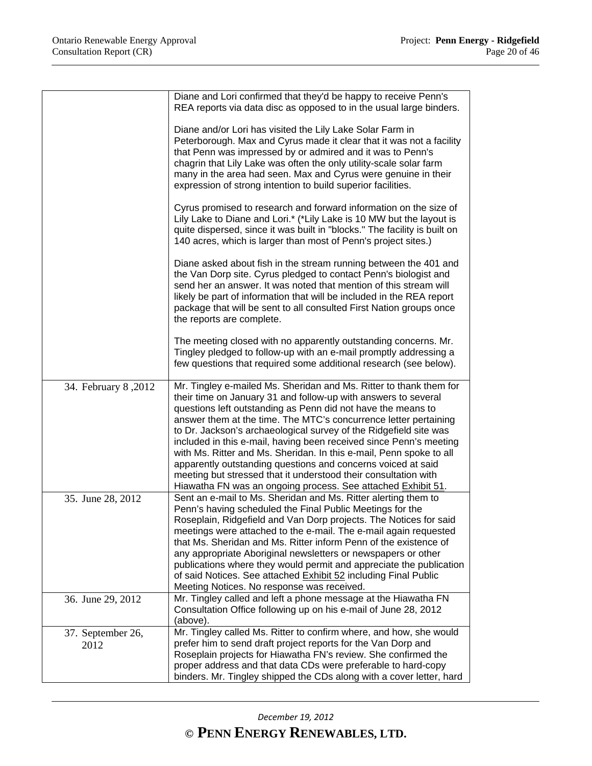|                           | Diane and Lori confirmed that they'd be happy to receive Penn's<br>REA reports via data disc as opposed to in the usual large binders.                                                                                                                                                                                                                                                                                                                                                                                                                                                                                                                                                        |
|---------------------------|-----------------------------------------------------------------------------------------------------------------------------------------------------------------------------------------------------------------------------------------------------------------------------------------------------------------------------------------------------------------------------------------------------------------------------------------------------------------------------------------------------------------------------------------------------------------------------------------------------------------------------------------------------------------------------------------------|
|                           | Diane and/or Lori has visited the Lily Lake Solar Farm in<br>Peterborough. Max and Cyrus made it clear that it was not a facility<br>that Penn was impressed by or admired and it was to Penn's<br>chagrin that Lily Lake was often the only utility-scale solar farm<br>many in the area had seen. Max and Cyrus were genuine in their<br>expression of strong intention to build superior facilities.                                                                                                                                                                                                                                                                                       |
|                           | Cyrus promised to research and forward information on the size of<br>Lily Lake to Diane and Lori.* (*Lily Lake is 10 MW but the layout is<br>quite dispersed, since it was built in "blocks." The facility is built on<br>140 acres, which is larger than most of Penn's project sites.)                                                                                                                                                                                                                                                                                                                                                                                                      |
|                           | Diane asked about fish in the stream running between the 401 and<br>the Van Dorp site. Cyrus pledged to contact Penn's biologist and<br>send her an answer. It was noted that mention of this stream will<br>likely be part of information that will be included in the REA report<br>package that will be sent to all consulted First Nation groups once<br>the reports are complete.                                                                                                                                                                                                                                                                                                        |
|                           | The meeting closed with no apparently outstanding concerns. Mr.<br>Tingley pledged to follow-up with an e-mail promptly addressing a<br>few questions that required some additional research (see below).                                                                                                                                                                                                                                                                                                                                                                                                                                                                                     |
| 34. February 8,2012       | Mr. Tingley e-mailed Ms. Sheridan and Ms. Ritter to thank them for<br>their time on January 31 and follow-up with answers to several<br>questions left outstanding as Penn did not have the means to<br>answer them at the time. The MTC's concurrence letter pertaining<br>to Dr. Jackson's archaeological survey of the Ridgefield site was<br>included in this e-mail, having been received since Penn's meeting<br>with Ms. Ritter and Ms. Sheridan. In this e-mail, Penn spoke to all<br>apparently outstanding questions and concerns voiced at said<br>meeting but stressed that it understood their consultation with<br>Hiawatha FN was an ongoing process. See attached Exhibit 51. |
| 35. June 28, 2012         | Sent an e-mail to Ms. Sheridan and Ms. Ritter alerting them to<br>Penn's having scheduled the Final Public Meetings for the<br>Roseplain, Ridgefield and Van Dorp projects. The Notices for said<br>meetings were attached to the e-mail. The e-mail again requested<br>that Ms. Sheridan and Ms. Ritter inform Penn of the existence of<br>any appropriate Aboriginal newsletters or newspapers or other<br>publications where they would permit and appreciate the publication<br>of said Notices. See attached Exhibit 52 including Final Public<br>Meeting Notices. No response was received.                                                                                             |
| 36. June 29, 2012         | Mr. Tingley called and left a phone message at the Hiawatha FN<br>Consultation Office following up on his e-mail of June 28, 2012<br>(above).                                                                                                                                                                                                                                                                                                                                                                                                                                                                                                                                                 |
| 37. September 26,<br>2012 | Mr. Tingley called Ms. Ritter to confirm where, and how, she would<br>prefer him to send draft project reports for the Van Dorp and<br>Roseplain projects for Hiawatha FN's review. She confirmed the<br>proper address and that data CDs were preferable to hard-copy<br>binders. Mr. Tingley shipped the CDs along with a cover letter, hard                                                                                                                                                                                                                                                                                                                                                |

*December 19, 2012*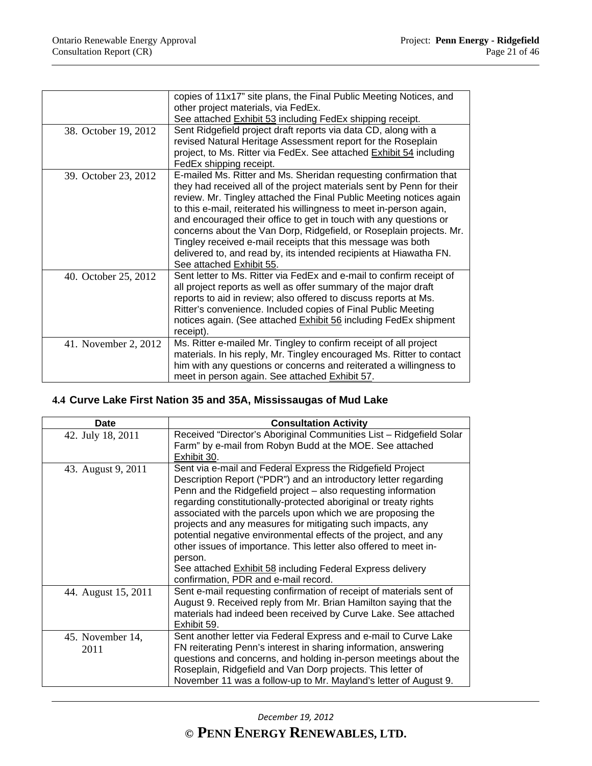|                      | copies of 11x17" site plans, the Final Public Meeting Notices, and                                                                                                                                                                                                                                                                                                                                                                                                                                  |
|----------------------|-----------------------------------------------------------------------------------------------------------------------------------------------------------------------------------------------------------------------------------------------------------------------------------------------------------------------------------------------------------------------------------------------------------------------------------------------------------------------------------------------------|
|                      | other project materials, via FedEx.                                                                                                                                                                                                                                                                                                                                                                                                                                                                 |
|                      | See attached Exhibit 53 including FedEx shipping receipt.                                                                                                                                                                                                                                                                                                                                                                                                                                           |
| 38. October 19, 2012 | Sent Ridgefield project draft reports via data CD, along with a                                                                                                                                                                                                                                                                                                                                                                                                                                     |
|                      | revised Natural Heritage Assessment report for the Roseplain                                                                                                                                                                                                                                                                                                                                                                                                                                        |
|                      | project, to Ms. Ritter via FedEx. See attached Exhibit 54 including                                                                                                                                                                                                                                                                                                                                                                                                                                 |
|                      | FedEx shipping receipt.                                                                                                                                                                                                                                                                                                                                                                                                                                                                             |
| 39. October 23, 2012 | E-mailed Ms. Ritter and Ms. Sheridan requesting confirmation that<br>they had received all of the project materials sent by Penn for their<br>review. Mr. Tingley attached the Final Public Meeting notices again<br>to this e-mail, reiterated his willingness to meet in-person again,<br>and encouraged their office to get in touch with any questions or<br>concerns about the Van Dorp, Ridgefield, or Roseplain projects. Mr.<br>Tingley received e-mail receipts that this message was both |
|                      | delivered to, and read by, its intended recipients at Hiawatha FN.                                                                                                                                                                                                                                                                                                                                                                                                                                  |
|                      | See attached Exhibit 55.                                                                                                                                                                                                                                                                                                                                                                                                                                                                            |
| 40. October 25, 2012 | Sent letter to Ms. Ritter via FedEx and e-mail to confirm receipt of<br>all project reports as well as offer summary of the major draft<br>reports to aid in review; also offered to discuss reports at Ms.<br>Ritter's convenience. Included copies of Final Public Meeting<br>notices again. (See attached Exhibit 56 including FedEx shipment<br>receipt).                                                                                                                                       |
| 41. November 2, 2012 | Ms. Ritter e-mailed Mr. Tingley to confirm receipt of all project<br>materials. In his reply, Mr. Tingley encouraged Ms. Ritter to contact<br>him with any questions or concerns and reiterated a willingness to<br>meet in person again. See attached Exhibit 57.                                                                                                                                                                                                                                  |

# **4.4 Curve Lake First Nation 35 and 35A, Mississaugas of Mud Lake**

| <b>Date</b>              | <b>Consultation Activity</b>                                                                                                                                                                                                                                                                                                                                                                                                                                                                                                                                                                                                                             |
|--------------------------|----------------------------------------------------------------------------------------------------------------------------------------------------------------------------------------------------------------------------------------------------------------------------------------------------------------------------------------------------------------------------------------------------------------------------------------------------------------------------------------------------------------------------------------------------------------------------------------------------------------------------------------------------------|
| 42. July 18, 2011        | Received "Director's Aboriginal Communities List - Ridgefield Solar<br>Farm" by e-mail from Robyn Budd at the MOE. See attached<br>Exhibit 30.                                                                                                                                                                                                                                                                                                                                                                                                                                                                                                           |
| 43. August 9, 2011       | Sent via e-mail and Federal Express the Ridgefield Project<br>Description Report ("PDR") and an introductory letter regarding<br>Penn and the Ridgefield project - also requesting information<br>regarding constitutionally-protected aboriginal or treaty rights<br>associated with the parcels upon which we are proposing the<br>projects and any measures for mitigating such impacts, any<br>potential negative environmental effects of the project, and any<br>other issues of importance. This letter also offered to meet in-<br>person.<br>See attached Exhibit 58 including Federal Express delivery<br>confirmation, PDR and e-mail record. |
| 44. August 15, 2011      | Sent e-mail requesting confirmation of receipt of materials sent of<br>August 9. Received reply from Mr. Brian Hamilton saying that the<br>materials had indeed been received by Curve Lake. See attached<br>Exhibit 59.                                                                                                                                                                                                                                                                                                                                                                                                                                 |
| 45. November 14,<br>2011 | Sent another letter via Federal Express and e-mail to Curve Lake<br>FN reiterating Penn's interest in sharing information, answering<br>questions and concerns, and holding in-person meetings about the<br>Roseplain, Ridgefield and Van Dorp projects. This letter of<br>November 11 was a follow-up to Mr. Mayland's letter of August 9.                                                                                                                                                                                                                                                                                                              |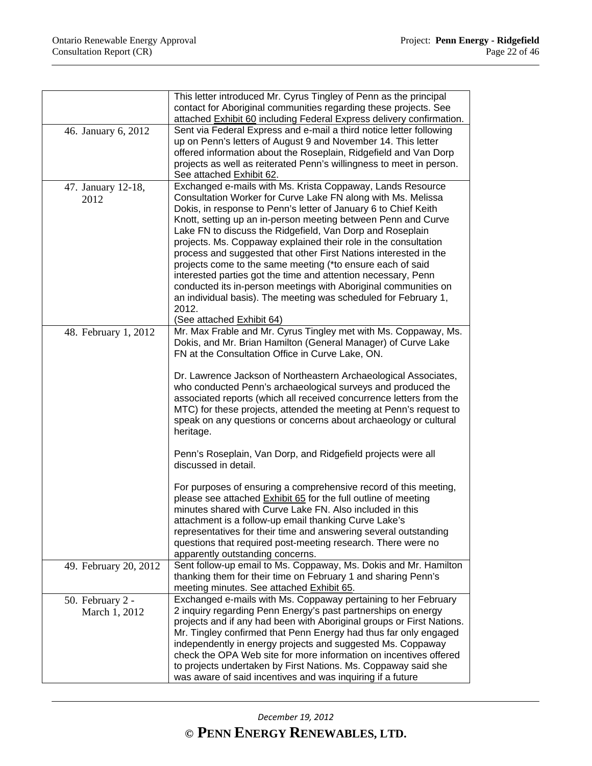|                                   | This letter introduced Mr. Cyrus Tingley of Penn as the principal<br>contact for Aboriginal communities regarding these projects. See                                                                                                                                                                                                                                                                                                                                                                                                                                                                                                                                                                                                                                         |
|-----------------------------------|-------------------------------------------------------------------------------------------------------------------------------------------------------------------------------------------------------------------------------------------------------------------------------------------------------------------------------------------------------------------------------------------------------------------------------------------------------------------------------------------------------------------------------------------------------------------------------------------------------------------------------------------------------------------------------------------------------------------------------------------------------------------------------|
|                                   | attached Exhibit 60 including Federal Express delivery confirmation.                                                                                                                                                                                                                                                                                                                                                                                                                                                                                                                                                                                                                                                                                                          |
| 46. January 6, 2012               | Sent via Federal Express and e-mail a third notice letter following<br>up on Penn's letters of August 9 and November 14. This letter<br>offered information about the Roseplain, Ridgefield and Van Dorp<br>projects as well as reiterated Penn's willingness to meet in person.<br>See attached Exhibit 62.                                                                                                                                                                                                                                                                                                                                                                                                                                                                  |
| 47. January 12-18,<br>2012        | Exchanged e-mails with Ms. Krista Coppaway, Lands Resource<br>Consultation Worker for Curve Lake FN along with Ms. Melissa<br>Dokis, in response to Penn's letter of January 6 to Chief Keith<br>Knott, setting up an in-person meeting between Penn and Curve<br>Lake FN to discuss the Ridgefield, Van Dorp and Roseplain<br>projects. Ms. Coppaway explained their role in the consultation<br>process and suggested that other First Nations interested in the<br>projects come to the same meeting (*to ensure each of said<br>interested parties got the time and attention necessary, Penn<br>conducted its in-person meetings with Aboriginal communities on<br>an individual basis). The meeting was scheduled for February 1,<br>2012.<br>(See attached Exhibit 64) |
| 48. February 1, 2012              | Mr. Max Frable and Mr. Cyrus Tingley met with Ms. Coppaway, Ms.<br>Dokis, and Mr. Brian Hamilton (General Manager) of Curve Lake<br>FN at the Consultation Office in Curve Lake, ON.<br>Dr. Lawrence Jackson of Northeastern Archaeological Associates,<br>who conducted Penn's archaeological surveys and produced the<br>associated reports (which all received concurrence letters from the<br>MTC) for these projects, attended the meeting at Penn's request to<br>speak on any questions or concerns about archaeology or cultural<br>heritage.<br>Penn's Roseplain, Van Dorp, and Ridgefield projects were all<br>discussed in detail.                                                                                                                                 |
|                                   | For purposes of ensuring a comprehensive record of this meeting,<br>please see attached Exhibit 65 for the full outline of meeting<br>minutes shared with Curve Lake FN. Also included in this<br>attachment is a follow-up email thanking Curve Lake's<br>representatives for their time and answering several outstanding<br>questions that required post-meeting research. There were no<br>apparently outstanding concerns.                                                                                                                                                                                                                                                                                                                                               |
| 49. February 20, 2012             | Sent follow-up email to Ms. Coppaway, Ms. Dokis and Mr. Hamilton<br>thanking them for their time on February 1 and sharing Penn's<br>meeting minutes. See attached Exhibit 65.                                                                                                                                                                                                                                                                                                                                                                                                                                                                                                                                                                                                |
| 50. February 2 -<br>March 1, 2012 | Exchanged e-mails with Ms. Coppaway pertaining to her February<br>2 inquiry regarding Penn Energy's past partnerships on energy<br>projects and if any had been with Aboriginal groups or First Nations.                                                                                                                                                                                                                                                                                                                                                                                                                                                                                                                                                                      |
|                                   | Mr. Tingley confirmed that Penn Energy had thus far only engaged<br>independently in energy projects and suggested Ms. Coppaway<br>check the OPA Web site for more information on incentives offered<br>to projects undertaken by First Nations. Ms. Coppaway said she<br>was aware of said incentives and was inquiring if a future                                                                                                                                                                                                                                                                                                                                                                                                                                          |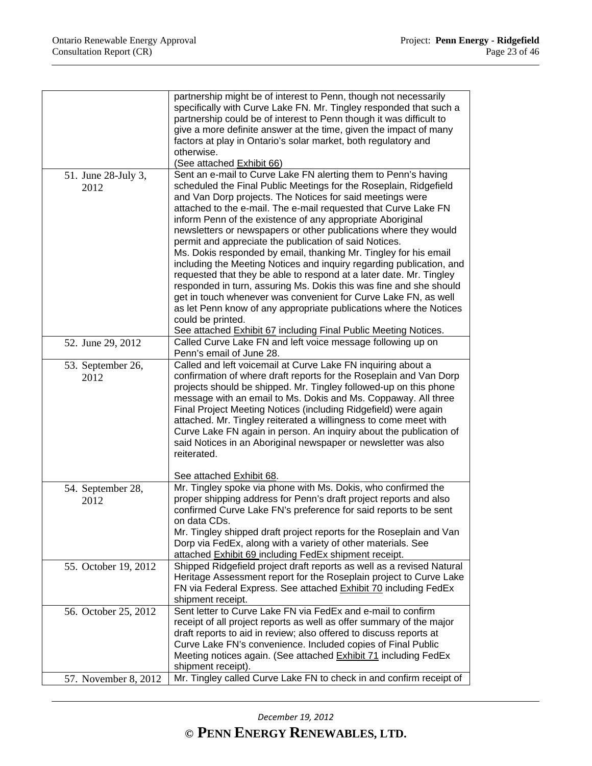|                                              | partnership might be of interest to Penn, though not necessarily<br>specifically with Curve Lake FN. Mr. Tingley responded that such a<br>partnership could be of interest to Penn though it was difficult to<br>give a more definite answer at the time, given the impact of many<br>factors at play in Ontario's solar market, both regulatory and<br>otherwise.                                                                                                                                                                                                                                                                                                                                                                                                                                                                                                                                                     |
|----------------------------------------------|------------------------------------------------------------------------------------------------------------------------------------------------------------------------------------------------------------------------------------------------------------------------------------------------------------------------------------------------------------------------------------------------------------------------------------------------------------------------------------------------------------------------------------------------------------------------------------------------------------------------------------------------------------------------------------------------------------------------------------------------------------------------------------------------------------------------------------------------------------------------------------------------------------------------|
|                                              | (See attached Exhibit 66)                                                                                                                                                                                                                                                                                                                                                                                                                                                                                                                                                                                                                                                                                                                                                                                                                                                                                              |
| 51. June 28-July 3,<br>2012                  | Sent an e-mail to Curve Lake FN alerting them to Penn's having<br>scheduled the Final Public Meetings for the Roseplain, Ridgefield<br>and Van Dorp projects. The Notices for said meetings were<br>attached to the e-mail. The e-mail requested that Curve Lake FN<br>inform Penn of the existence of any appropriate Aboriginal<br>newsletters or newspapers or other publications where they would<br>permit and appreciate the publication of said Notices.<br>Ms. Dokis responded by email, thanking Mr. Tingley for his email<br>including the Meeting Notices and inquiry regarding publication, and<br>requested that they be able to respond at a later date. Mr. Tingley<br>responded in turn, assuring Ms. Dokis this was fine and she should<br>get in touch whenever was convenient for Curve Lake FN, as well<br>as let Penn know of any appropriate publications where the Notices<br>could be printed. |
|                                              |                                                                                                                                                                                                                                                                                                                                                                                                                                                                                                                                                                                                                                                                                                                                                                                                                                                                                                                        |
|                                              | See attached Exhibit 67 including Final Public Meeting Notices.                                                                                                                                                                                                                                                                                                                                                                                                                                                                                                                                                                                                                                                                                                                                                                                                                                                        |
| 52. June 29, 2012                            | Called Curve Lake FN and left voice message following up on<br>Penn's email of June 28.                                                                                                                                                                                                                                                                                                                                                                                                                                                                                                                                                                                                                                                                                                                                                                                                                                |
| 53. September 26,                            | Called and left voicemail at Curve Lake FN inquiring about a                                                                                                                                                                                                                                                                                                                                                                                                                                                                                                                                                                                                                                                                                                                                                                                                                                                           |
| 2012                                         | confirmation of where draft reports for the Roseplain and Van Dorp<br>projects should be shipped. Mr. Tingley followed-up on this phone<br>message with an email to Ms. Dokis and Ms. Coppaway. All three<br>Final Project Meeting Notices (including Ridgefield) were again<br>attached. Mr. Tingley reiterated a willingness to come meet with<br>Curve Lake FN again in person. An inquiry about the publication of<br>said Notices in an Aboriginal newspaper or newsletter was also<br>reiterated.                                                                                                                                                                                                                                                                                                                                                                                                                |
|                                              | See attached Exhibit 68.                                                                                                                                                                                                                                                                                                                                                                                                                                                                                                                                                                                                                                                                                                                                                                                                                                                                                               |
| 54. September 28,<br>2012                    | Mr. Tingley spoke via phone with Ms. Dokis, who confirmed the<br>proper shipping address for Penn's draft project reports and also<br>confirmed Curve Lake FN's preference for said reports to be sent<br>on data CDs.<br>Mr. Tingley shipped draft project reports for the Roseplain and Van<br>Dorp via FedEx, along with a variety of other materials. See<br>attached Exhibit 69 including FedEx shipment receipt.                                                                                                                                                                                                                                                                                                                                                                                                                                                                                                 |
| 55. October 19, 2012                         | Shipped Ridgefield project draft reports as well as a revised Natural<br>Heritage Assessment report for the Roseplain project to Curve Lake<br>FN via Federal Express. See attached Exhibit 70 including FedEx<br>shipment receipt.                                                                                                                                                                                                                                                                                                                                                                                                                                                                                                                                                                                                                                                                                    |
| 56. October 25, 2012<br>57. November 8, 2012 | Sent letter to Curve Lake FN via FedEx and e-mail to confirm<br>receipt of all project reports as well as offer summary of the major<br>draft reports to aid in review; also offered to discuss reports at<br>Curve Lake FN's convenience. Included copies of Final Public<br>Meeting notices again. (See attached Exhibit 71 including FedEx<br>shipment receipt).<br>Mr. Tingley called Curve Lake FN to check in and confirm receipt of                                                                                                                                                                                                                                                                                                                                                                                                                                                                             |
|                                              |                                                                                                                                                                                                                                                                                                                                                                                                                                                                                                                                                                                                                                                                                                                                                                                                                                                                                                                        |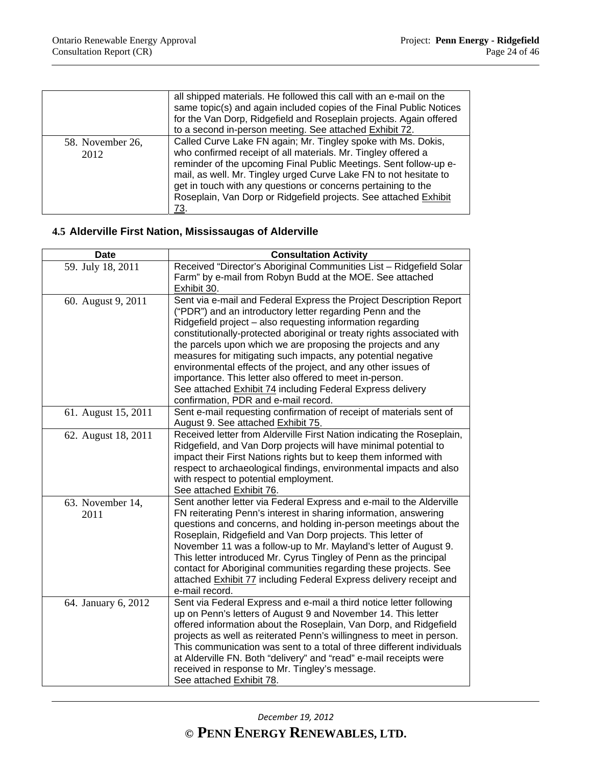|                          | all shipped materials. He followed this call with an e-mail on the<br>same topic(s) and again included copies of the Final Public Notices<br>for the Van Dorp, Ridgefield and Roseplain projects. Again offered<br>to a second in-person meeting. See attached Exhibit 72.                                                                                                                                           |
|--------------------------|----------------------------------------------------------------------------------------------------------------------------------------------------------------------------------------------------------------------------------------------------------------------------------------------------------------------------------------------------------------------------------------------------------------------|
| 58. November 26,<br>2012 | Called Curve Lake FN again; Mr. Tingley spoke with Ms. Dokis,<br>who confirmed receipt of all materials. Mr. Tingley offered a<br>reminder of the upcoming Final Public Meetings. Sent follow-up e-<br>mail, as well. Mr. Tingley urged Curve Lake FN to not hesitate to<br>get in touch with any questions or concerns pertaining to the<br>Roseplain, Van Dorp or Ridgefield projects. See attached Exhibit<br>73. |

# **4.5 Alderville First Nation, Mississaugas of Alderville**

| <b>Date</b>              | <b>Consultation Activity</b>                                                                                                                                                                                                                                                                                                                                                                                                                                                                                                                                                                                                              |
|--------------------------|-------------------------------------------------------------------------------------------------------------------------------------------------------------------------------------------------------------------------------------------------------------------------------------------------------------------------------------------------------------------------------------------------------------------------------------------------------------------------------------------------------------------------------------------------------------------------------------------------------------------------------------------|
| 59. July 18, 2011        | Received "Director's Aboriginal Communities List - Ridgefield Solar<br>Farm" by e-mail from Robyn Budd at the MOE. See attached<br>Exhibit 30.                                                                                                                                                                                                                                                                                                                                                                                                                                                                                            |
| 60. August 9, 2011       | Sent via e-mail and Federal Express the Project Description Report<br>("PDR") and an introductory letter regarding Penn and the<br>Ridgefield project - also requesting information regarding<br>constitutionally-protected aboriginal or treaty rights associated with<br>the parcels upon which we are proposing the projects and any<br>measures for mitigating such impacts, any potential negative<br>environmental effects of the project, and any other issues of<br>importance. This letter also offered to meet in-person.<br>See attached Exhibit 74 including Federal Express delivery<br>confirmation, PDR and e-mail record. |
| 61. August 15, 2011      | Sent e-mail requesting confirmation of receipt of materials sent of<br>August 9. See attached Exhibit 75.                                                                                                                                                                                                                                                                                                                                                                                                                                                                                                                                 |
| 62. August 18, 2011      | Received letter from Alderville First Nation indicating the Roseplain,<br>Ridgefield, and Van Dorp projects will have minimal potential to<br>impact their First Nations rights but to keep them informed with<br>respect to archaeological findings, environmental impacts and also<br>with respect to potential employment.<br>See attached Exhibit 76.                                                                                                                                                                                                                                                                                 |
| 63. November 14,<br>2011 | Sent another letter via Federal Express and e-mail to the Alderville<br>FN reiterating Penn's interest in sharing information, answering<br>questions and concerns, and holding in-person meetings about the<br>Roseplain, Ridgefield and Van Dorp projects. This letter of<br>November 11 was a follow-up to Mr. Mayland's letter of August 9.<br>This letter introduced Mr. Cyrus Tingley of Penn as the principal<br>contact for Aboriginal communities regarding these projects. See<br>attached Exhibit 77 including Federal Express delivery receipt and<br>e-mail record.                                                          |
| 64. January 6, 2012      | Sent via Federal Express and e-mail a third notice letter following<br>up on Penn's letters of August 9 and November 14. This letter<br>offered information about the Roseplain, Van Dorp, and Ridgefield<br>projects as well as reiterated Penn's willingness to meet in person.<br>This communication was sent to a total of three different individuals<br>at Alderville FN. Both "delivery" and "read" e-mail receipts were<br>received in response to Mr. Tingley's message.<br>See attached Exhibit 78.                                                                                                                             |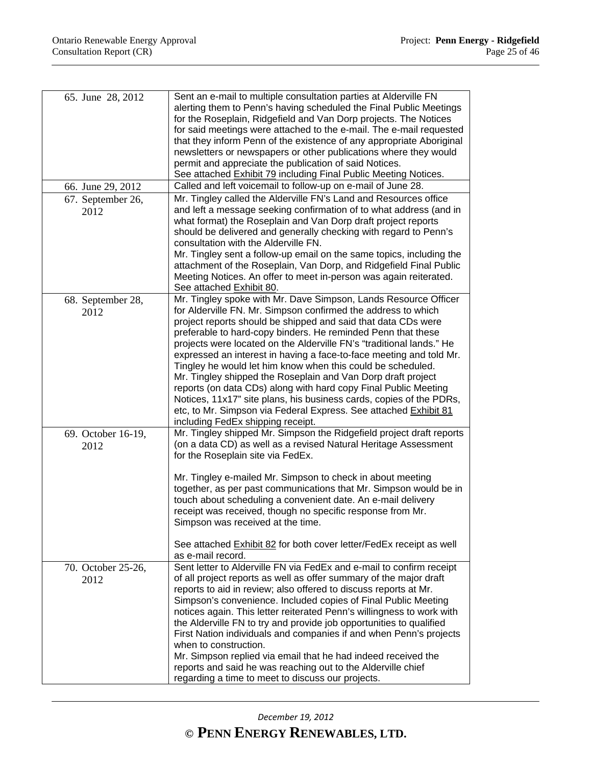| 65. June 28, 2012          | Sent an e-mail to multiple consultation parties at Alderville FN<br>alerting them to Penn's having scheduled the Final Public Meetings<br>for the Roseplain, Ridgefield and Van Dorp projects. The Notices<br>for said meetings were attached to the e-mail. The e-mail requested<br>that they inform Penn of the existence of any appropriate Aboriginal<br>newsletters or newspapers or other publications where they would<br>permit and appreciate the publication of said Notices.<br>See attached Exhibit 79 including Final Public Meeting Notices.                                                                                                                                                                                                                                         |
|----------------------------|----------------------------------------------------------------------------------------------------------------------------------------------------------------------------------------------------------------------------------------------------------------------------------------------------------------------------------------------------------------------------------------------------------------------------------------------------------------------------------------------------------------------------------------------------------------------------------------------------------------------------------------------------------------------------------------------------------------------------------------------------------------------------------------------------|
| 66. June 29, 2012          | Called and left voicemail to follow-up on e-mail of June 28.                                                                                                                                                                                                                                                                                                                                                                                                                                                                                                                                                                                                                                                                                                                                       |
| 67. September 26,<br>2012  | Mr. Tingley called the Alderville FN's Land and Resources office<br>and left a message seeking confirmation of to what address (and in<br>what format) the Roseplain and Van Dorp draft project reports<br>should be delivered and generally checking with regard to Penn's<br>consultation with the Alderville FN.<br>Mr. Tingley sent a follow-up email on the same topics, including the<br>attachment of the Roseplain, Van Dorp, and Ridgefield Final Public<br>Meeting Notices. An offer to meet in-person was again reiterated.<br>See attached Exhibit 80.                                                                                                                                                                                                                                 |
| 68. September 28,<br>2012  | Mr. Tingley spoke with Mr. Dave Simpson, Lands Resource Officer<br>for Alderville FN. Mr. Simpson confirmed the address to which<br>project reports should be shipped and said that data CDs were<br>preferable to hard-copy binders. He reminded Penn that these<br>projects were located on the Alderville FN's "traditional lands." He<br>expressed an interest in having a face-to-face meeting and told Mr.<br>Tingley he would let him know when this could be scheduled.<br>Mr. Tingley shipped the Roseplain and Van Dorp draft project<br>reports (on data CDs) along with hard copy Final Public Meeting<br>Notices, 11x17" site plans, his business cards, copies of the PDRs,<br>etc, to Mr. Simpson via Federal Express. See attached Exhibit 81<br>including FedEx shipping receipt. |
| 69. October 16-19,<br>2012 | Mr. Tingley shipped Mr. Simpson the Ridgefield project draft reports<br>(on a data CD) as well as a revised Natural Heritage Assessment<br>for the Roseplain site via FedEx.<br>Mr. Tingley e-mailed Mr. Simpson to check in about meeting                                                                                                                                                                                                                                                                                                                                                                                                                                                                                                                                                         |
|                            | together, as per past communications that Mr. Simpson would be in<br>touch about scheduling a convenient date. An e-mail delivery<br>receipt was received, though no specific response from Mr.<br>Simpson was received at the time.<br>See attached Exhibit 82 for both cover letter/FedEx receipt as well<br>as e-mail record.                                                                                                                                                                                                                                                                                                                                                                                                                                                                   |
| 70. October 25-26,<br>2012 | Sent letter to Alderville FN via FedEx and e-mail to confirm receipt<br>of all project reports as well as offer summary of the major draft<br>reports to aid in review; also offered to discuss reports at Mr.<br>Simpson's convenience. Included copies of Final Public Meeting<br>notices again. This letter reiterated Penn's willingness to work with<br>the Alderville FN to try and provide job opportunities to qualified<br>First Nation individuals and companies if and when Penn's projects<br>when to construction.<br>Mr. Simpson replied via email that he had indeed received the                                                                                                                                                                                                   |
|                            | reports and said he was reaching out to the Alderville chief<br>regarding a time to meet to discuss our projects.                                                                                                                                                                                                                                                                                                                                                                                                                                                                                                                                                                                                                                                                                  |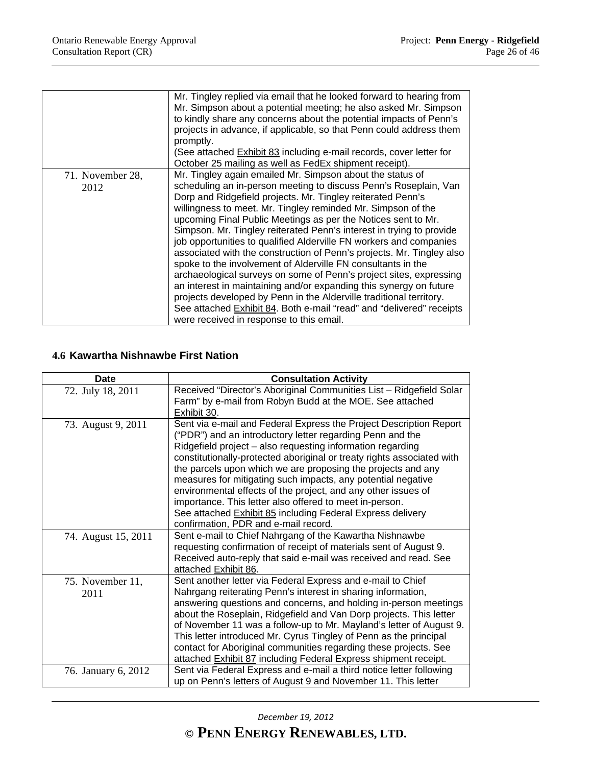|                          | Mr. Tingley replied via email that he looked forward to hearing from<br>Mr. Simpson about a potential meeting; he also asked Mr. Simpson<br>to kindly share any concerns about the potential impacts of Penn's<br>projects in advance, if applicable, so that Penn could address them<br>promptly.<br>(See attached Exhibit 83 including e-mail records, cover letter for<br>October 25 mailing as well as FedEx shipment receipt).                                                                                                                                                                                                                                                                                                                                                                                                                                                                                                                         |
|--------------------------|-------------------------------------------------------------------------------------------------------------------------------------------------------------------------------------------------------------------------------------------------------------------------------------------------------------------------------------------------------------------------------------------------------------------------------------------------------------------------------------------------------------------------------------------------------------------------------------------------------------------------------------------------------------------------------------------------------------------------------------------------------------------------------------------------------------------------------------------------------------------------------------------------------------------------------------------------------------|
| 71. November 28,<br>2012 | Mr. Tingley again emailed Mr. Simpson about the status of<br>scheduling an in-person meeting to discuss Penn's Roseplain, Van<br>Dorp and Ridgefield projects. Mr. Tingley reiterated Penn's<br>willingness to meet. Mr. Tingley reminded Mr. Simpson of the<br>upcoming Final Public Meetings as per the Notices sent to Mr.<br>Simpson. Mr. Tingley reiterated Penn's interest in trying to provide<br>job opportunities to qualified Alderville FN workers and companies<br>associated with the construction of Penn's projects. Mr. Tingley also<br>spoke to the involvement of Alderville FN consultants in the<br>archaeological surveys on some of Penn's project sites, expressing<br>an interest in maintaining and/or expanding this synergy on future<br>projects developed by Penn in the Alderville traditional territory.<br>See attached Exhibit 84. Both e-mail "read" and "delivered" receipts<br>were received in response to this email. |

# **4.6 Kawartha Nishnawbe First Nation**

| Date                     | <b>Consultation Activity</b>                                                                                                                                                                                                                                                                                                                                                                                                                                                                                                                                                                                                              |
|--------------------------|-------------------------------------------------------------------------------------------------------------------------------------------------------------------------------------------------------------------------------------------------------------------------------------------------------------------------------------------------------------------------------------------------------------------------------------------------------------------------------------------------------------------------------------------------------------------------------------------------------------------------------------------|
| 72. July 18, 2011        | Received "Director's Aboriginal Communities List - Ridgefield Solar<br>Farm" by e-mail from Robyn Budd at the MOE. See attached<br>Exhibit 30.                                                                                                                                                                                                                                                                                                                                                                                                                                                                                            |
| 73. August 9, 2011       | Sent via e-mail and Federal Express the Project Description Report<br>("PDR") and an introductory letter regarding Penn and the<br>Ridgefield project - also requesting information regarding<br>constitutionally-protected aboriginal or treaty rights associated with<br>the parcels upon which we are proposing the projects and any<br>measures for mitigating such impacts, any potential negative<br>environmental effects of the project, and any other issues of<br>importance. This letter also offered to meet in-person.<br>See attached Exhibit 85 including Federal Express delivery<br>confirmation, PDR and e-mail record. |
| 74. August 15, 2011      | Sent e-mail to Chief Nahrgang of the Kawartha Nishnawbe<br>requesting confirmation of receipt of materials sent of August 9.<br>Received auto-reply that said e-mail was received and read. See<br>attached Exhibit 86.                                                                                                                                                                                                                                                                                                                                                                                                                   |
| 75. November 11,<br>2011 | Sent another letter via Federal Express and e-mail to Chief<br>Nahrgang reiterating Penn's interest in sharing information,<br>answering questions and concerns, and holding in-person meetings<br>about the Roseplain, Ridgefield and Van Dorp projects. This letter<br>of November 11 was a follow-up to Mr. Mayland's letter of August 9.<br>This letter introduced Mr. Cyrus Tingley of Penn as the principal<br>contact for Aboriginal communities regarding these projects. See<br>attached Exhibit 87 including Federal Express shipment receipt.                                                                                  |
| 76. January 6, 2012      | Sent via Federal Express and e-mail a third notice letter following<br>up on Penn's letters of August 9 and November 11. This letter                                                                                                                                                                                                                                                                                                                                                                                                                                                                                                      |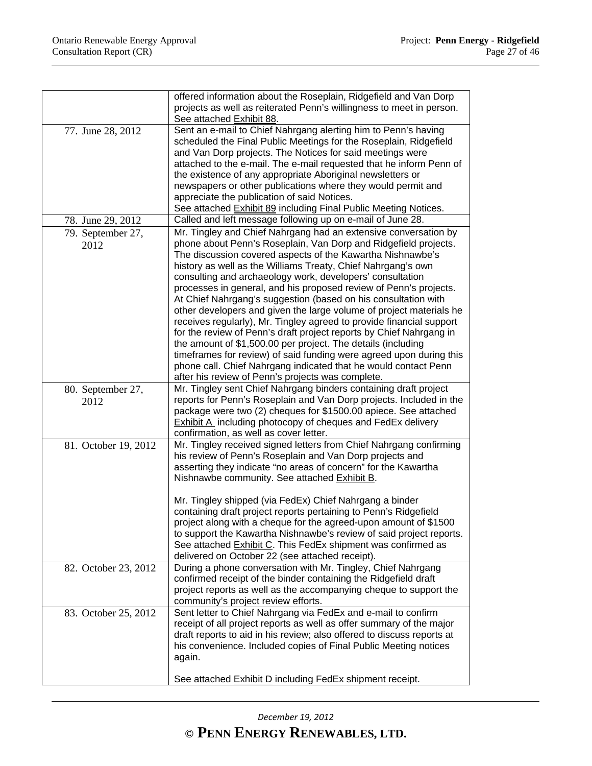|                      | offered information about the Roseplain, Ridgefield and Van Dorp                                                     |
|----------------------|----------------------------------------------------------------------------------------------------------------------|
|                      | projects as well as reiterated Penn's willingness to meet in person.                                                 |
|                      | See attached Exhibit 88.                                                                                             |
| 77. June 28, 2012    | Sent an e-mail to Chief Nahrgang alerting him to Penn's having                                                       |
|                      | scheduled the Final Public Meetings for the Roseplain, Ridgefield                                                    |
|                      | and Van Dorp projects. The Notices for said meetings were                                                            |
|                      | attached to the e-mail. The e-mail requested that he inform Penn of                                                  |
|                      | the existence of any appropriate Aboriginal newsletters or                                                           |
|                      | newspapers or other publications where they would permit and                                                         |
|                      | appreciate the publication of said Notices.                                                                          |
|                      | See attached <b>Exhibit 89</b> including Final Public Meeting Notices.                                               |
| 78. June 29, 2012    | Called and left message following up on e-mail of June 28.                                                           |
| 79. September 27,    | Mr. Tingley and Chief Nahrgang had an extensive conversation by                                                      |
| 2012                 | phone about Penn's Roseplain, Van Dorp and Ridgefield projects.                                                      |
|                      | The discussion covered aspects of the Kawartha Nishnawbe's                                                           |
|                      | history as well as the Williams Treaty, Chief Nahrgang's own                                                         |
|                      | consulting and archaeology work, developers' consultation                                                            |
|                      | processes in general, and his proposed review of Penn's projects.                                                    |
|                      | At Chief Nahrgang's suggestion (based on his consultation with                                                       |
|                      | other developers and given the large volume of project materials he                                                  |
|                      | receives regularly), Mr. Tingley agreed to provide financial support                                                 |
|                      | for the review of Penn's draft project reports by Chief Nahrgang in                                                  |
|                      | the amount of \$1,500.00 per project. The details (including                                                         |
|                      | timeframes for review) of said funding were agreed upon during this                                                  |
|                      | phone call. Chief Nahrgang indicated that he would contact Penn<br>after his review of Penn's projects was complete. |
|                      | Mr. Tingley sent Chief Nahrgang binders containing draft project                                                     |
| 80. September 27,    | reports for Penn's Roseplain and Van Dorp projects. Included in the                                                  |
| 2012                 | package were two (2) cheques for \$1500.00 apiece. See attached                                                      |
|                      | <b>Exhibit A</b> including photocopy of cheques and FedEx delivery                                                   |
|                      | confirmation, as well as cover letter.                                                                               |
| 81. October 19, 2012 | Mr. Tingley received signed letters from Chief Nahrgang confirming                                                   |
|                      | his review of Penn's Roseplain and Van Dorp projects and                                                             |
|                      | asserting they indicate "no areas of concern" for the Kawartha                                                       |
|                      | Nishnawbe community. See attached Exhibit B.                                                                         |
|                      |                                                                                                                      |
|                      | Mr. Tingley shipped (via FedEx) Chief Nahrgang a binder                                                              |
|                      | containing draft project reports pertaining to Penn's Ridgefield                                                     |
|                      | project along with a cheque for the agreed-upon amount of \$1500                                                     |
|                      | to support the Kawartha Nishnawbe's review of said project reports.                                                  |
|                      | See attached Exhibit C. This FedEx shipment was confirmed as                                                         |
|                      | delivered on October 22 (see attached receipt).                                                                      |
| 82. October 23, 2012 | During a phone conversation with Mr. Tingley, Chief Nahrgang                                                         |
|                      | confirmed receipt of the binder containing the Ridgefield draft                                                      |
|                      | project reports as well as the accompanying cheque to support the                                                    |
|                      | community's project review efforts.<br>Sent letter to Chief Nahrgang via FedEx and e-mail to confirm                 |
| 83. October 25, 2012 | receipt of all project reports as well as offer summary of the major                                                 |
|                      | draft reports to aid in his review; also offered to discuss reports at                                               |
|                      | his convenience. Included copies of Final Public Meeting notices                                                     |
|                      | again.                                                                                                               |
|                      |                                                                                                                      |
|                      | See attached Exhibit D including FedEx shipment receipt.                                                             |
|                      |                                                                                                                      |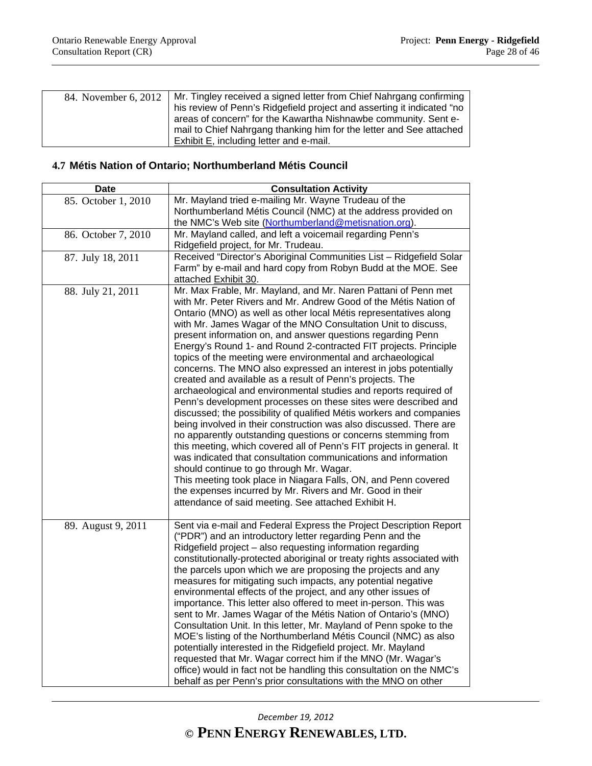| 84. November 6, 2012 | Mr. Tingley received a signed letter from Chief Nahrgang confirming    |
|----------------------|------------------------------------------------------------------------|
|                      | his review of Penn's Ridgefield project and asserting it indicated "no |
|                      | areas of concern" for the Kawartha Nishnawbe community. Sent e-        |
|                      | mail to Chief Nahrgang thanking him for the letter and See attached    |
|                      | Exhibit E, including letter and e-mail.                                |

### **4.7 Métis Nation of Ontario; Northumberland Métis Council**

| <b>Date</b>         | <b>Consultation Activity</b>                                                                                                                                                                                                                                                                                                                                                                                                                                                                                                                                                                                                                                                                                                                                                                                                                                                                                                                                                                                                                                                                                                                                                                                                                                                                                                                |
|---------------------|---------------------------------------------------------------------------------------------------------------------------------------------------------------------------------------------------------------------------------------------------------------------------------------------------------------------------------------------------------------------------------------------------------------------------------------------------------------------------------------------------------------------------------------------------------------------------------------------------------------------------------------------------------------------------------------------------------------------------------------------------------------------------------------------------------------------------------------------------------------------------------------------------------------------------------------------------------------------------------------------------------------------------------------------------------------------------------------------------------------------------------------------------------------------------------------------------------------------------------------------------------------------------------------------------------------------------------------------|
| 85. October 1, 2010 | Mr. Mayland tried e-mailing Mr. Wayne Trudeau of the                                                                                                                                                                                                                                                                                                                                                                                                                                                                                                                                                                                                                                                                                                                                                                                                                                                                                                                                                                                                                                                                                                                                                                                                                                                                                        |
|                     | Northumberland Métis Council (NMC) at the address provided on                                                                                                                                                                                                                                                                                                                                                                                                                                                                                                                                                                                                                                                                                                                                                                                                                                                                                                                                                                                                                                                                                                                                                                                                                                                                               |
|                     | the NMC's Web site (Northumberland@metisnation.org).                                                                                                                                                                                                                                                                                                                                                                                                                                                                                                                                                                                                                                                                                                                                                                                                                                                                                                                                                                                                                                                                                                                                                                                                                                                                                        |
| 86. October 7, 2010 | Mr. Mayland called, and left a voicemail regarding Penn's<br>Ridgefield project, for Mr. Trudeau.                                                                                                                                                                                                                                                                                                                                                                                                                                                                                                                                                                                                                                                                                                                                                                                                                                                                                                                                                                                                                                                                                                                                                                                                                                           |
| 87. July 18, 2011   | Received "Director's Aboriginal Communities List - Ridgefield Solar<br>Farm" by e-mail and hard copy from Robyn Budd at the MOE. See<br>attached Exhibit 30.                                                                                                                                                                                                                                                                                                                                                                                                                                                                                                                                                                                                                                                                                                                                                                                                                                                                                                                                                                                                                                                                                                                                                                                |
| 88. July 21, 2011   | Mr. Max Frable, Mr. Mayland, and Mr. Naren Pattani of Penn met<br>with Mr. Peter Rivers and Mr. Andrew Good of the Métis Nation of<br>Ontario (MNO) as well as other local Métis representatives along<br>with Mr. James Wagar of the MNO Consultation Unit to discuss,<br>present information on, and answer questions regarding Penn<br>Energy's Round 1- and Round 2-contracted FIT projects. Principle<br>topics of the meeting were environmental and archaeological<br>concerns. The MNO also expressed an interest in jobs potentially<br>created and available as a result of Penn's projects. The<br>archaeological and environmental studies and reports required of<br>Penn's development processes on these sites were described and<br>discussed; the possibility of qualified Métis workers and companies<br>being involved in their construction was also discussed. There are<br>no apparently outstanding questions or concerns stemming from<br>this meeting, which covered all of Penn's FIT projects in general. It<br>was indicated that consultation communications and information<br>should continue to go through Mr. Wagar.<br>This meeting took place in Niagara Falls, ON, and Penn covered<br>the expenses incurred by Mr. Rivers and Mr. Good in their<br>attendance of said meeting. See attached Exhibit H. |
| 89. August 9, 2011  | Sent via e-mail and Federal Express the Project Description Report<br>("PDR") and an introductory letter regarding Penn and the<br>Ridgefield project - also requesting information regarding<br>constitutionally-protected aboriginal or treaty rights associated with<br>the parcels upon which we are proposing the projects and any<br>measures for mitigating such impacts, any potential negative<br>environmental effects of the project, and any other issues of<br>importance. This letter also offered to meet in-person. This was<br>sent to Mr. James Wagar of the Métis Nation of Ontario's (MNO)<br>Consultation Unit. In this letter, Mr. Mayland of Penn spoke to the<br>MOE's listing of the Northumberland Métis Council (NMC) as also<br>potentially interested in the Ridgefield project. Mr. Mayland<br>requested that Mr. Wagar correct him if the MNO (Mr. Wagar's<br>office) would in fact not be handling this consultation on the NMC's<br>behalf as per Penn's prior consultations with the MNO on other                                                                                                                                                                                                                                                                                                         |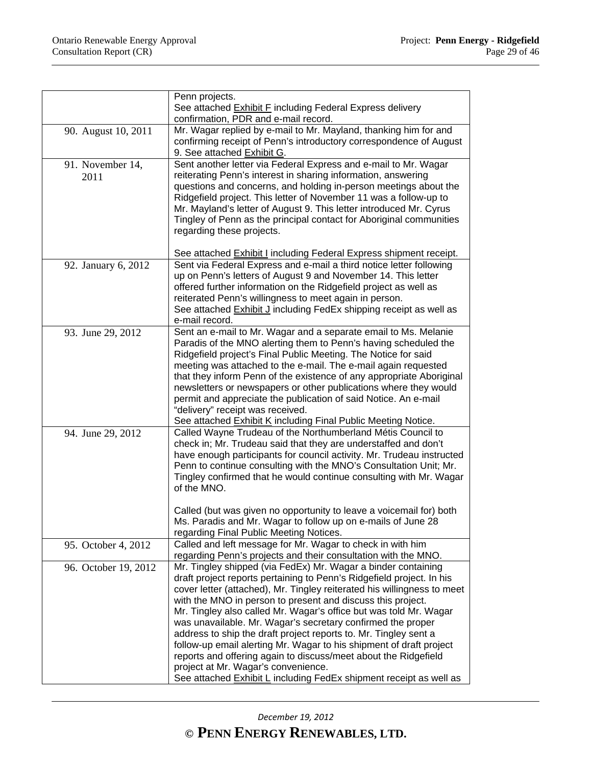|                          | Penn projects.                                                                                                                                                                                                                                                                                                                                                                                                                                                                                                                                                                                                                                                                                                                                         |
|--------------------------|--------------------------------------------------------------------------------------------------------------------------------------------------------------------------------------------------------------------------------------------------------------------------------------------------------------------------------------------------------------------------------------------------------------------------------------------------------------------------------------------------------------------------------------------------------------------------------------------------------------------------------------------------------------------------------------------------------------------------------------------------------|
|                          | See attached Exhibit F including Federal Express delivery<br>confirmation, PDR and e-mail record.                                                                                                                                                                                                                                                                                                                                                                                                                                                                                                                                                                                                                                                      |
| 90. August 10, 2011      | Mr. Wagar replied by e-mail to Mr. Mayland, thanking him for and<br>confirming receipt of Penn's introductory correspondence of August<br>9. See attached Exhibit G.                                                                                                                                                                                                                                                                                                                                                                                                                                                                                                                                                                                   |
| 91. November 14,<br>2011 | Sent another letter via Federal Express and e-mail to Mr. Wagar<br>reiterating Penn's interest in sharing information, answering<br>questions and concerns, and holding in-person meetings about the<br>Ridgefield project. This letter of November 11 was a follow-up to<br>Mr. Mayland's letter of August 9. This letter introduced Mr. Cyrus<br>Tingley of Penn as the principal contact for Aboriginal communities<br>regarding these projects.                                                                                                                                                                                                                                                                                                    |
| 92. January 6, 2012      | See attached <b>Exhibit I</b> including Federal Express shipment receipt.<br>Sent via Federal Express and e-mail a third notice letter following<br>up on Penn's letters of August 9 and November 14. This letter<br>offered further information on the Ridgefield project as well as<br>reiterated Penn's willingness to meet again in person.<br>See attached Exhibit J including FedEx shipping receipt as well as<br>e-mail record.                                                                                                                                                                                                                                                                                                                |
| 93. June 29, 2012        | Sent an e-mail to Mr. Wagar and a separate email to Ms. Melanie<br>Paradis of the MNO alerting them to Penn's having scheduled the<br>Ridgefield project's Final Public Meeting. The Notice for said<br>meeting was attached to the e-mail. The e-mail again requested<br>that they inform Penn of the existence of any appropriate Aboriginal<br>newsletters or newspapers or other publications where they would<br>permit and appreciate the publication of said Notice. An e-mail<br>"delivery" receipt was received.<br>See attached Exhibit K including Final Public Meeting Notice.                                                                                                                                                             |
| 94. June 29, 2012        | Called Wayne Trudeau of the Northumberland Métis Council to<br>check in; Mr. Trudeau said that they are understaffed and don't<br>have enough participants for council activity. Mr. Trudeau instructed<br>Penn to continue consulting with the MNO's Consultation Unit; Mr.<br>Tingley confirmed that he would continue consulting with Mr. Wagar<br>of the MNO.<br>Called (but was given no opportunity to leave a voicemail for) both<br>Ms. Paradis and Mr. Wagar to follow up on e-mails of June 28<br>regarding Final Public Meeting Notices.                                                                                                                                                                                                    |
| 95. October 4, 2012      | Called and left message for Mr. Wagar to check in with him<br>regarding Penn's projects and their consultation with the MNO.                                                                                                                                                                                                                                                                                                                                                                                                                                                                                                                                                                                                                           |
| 96. October 19, 2012     | Mr. Tingley shipped (via FedEx) Mr. Wagar a binder containing<br>draft project reports pertaining to Penn's Ridgefield project. In his<br>cover letter (attached), Mr. Tingley reiterated his willingness to meet<br>with the MNO in person to present and discuss this project.<br>Mr. Tingley also called Mr. Wagar's office but was told Mr. Wagar<br>was unavailable. Mr. Wagar's secretary confirmed the proper<br>address to ship the draft project reports to. Mr. Tingley sent a<br>follow-up email alerting Mr. Wagar to his shipment of draft project<br>reports and offering again to discuss/meet about the Ridgefield<br>project at Mr. Wagar's convenience.<br>See attached <b>Exhibit L</b> including FedEx shipment receipt as well as |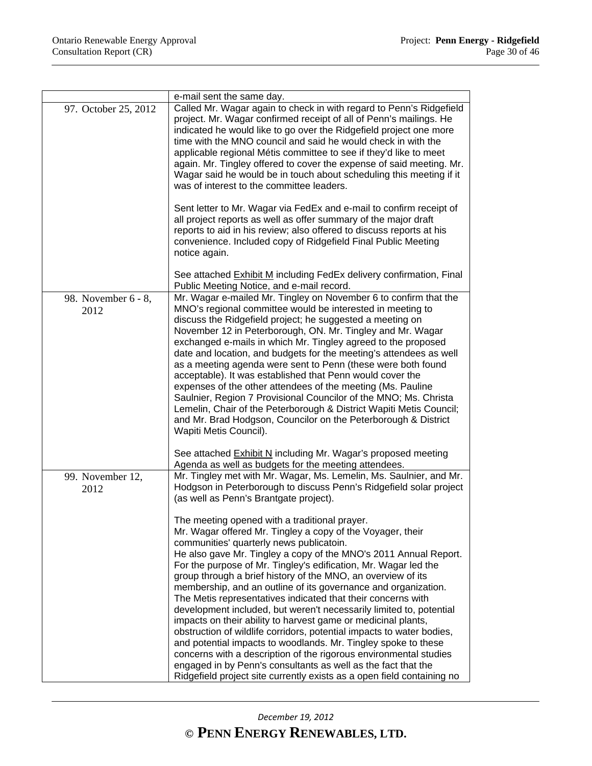|                             | e-mail sent the same day.                                                                                                                                                                                                                                                                                                                                                                                                                                                                                                                                                                                                                                                                                                                                                                                                                                                                                                                                                                           |
|-----------------------------|-----------------------------------------------------------------------------------------------------------------------------------------------------------------------------------------------------------------------------------------------------------------------------------------------------------------------------------------------------------------------------------------------------------------------------------------------------------------------------------------------------------------------------------------------------------------------------------------------------------------------------------------------------------------------------------------------------------------------------------------------------------------------------------------------------------------------------------------------------------------------------------------------------------------------------------------------------------------------------------------------------|
| 97. October 25, 2012        | Called Mr. Wagar again to check in with regard to Penn's Ridgefield<br>project. Mr. Wagar confirmed receipt of all of Penn's mailings. He<br>indicated he would like to go over the Ridgefield project one more<br>time with the MNO council and said he would check in with the<br>applicable regional Métis committee to see if they'd like to meet<br>again. Mr. Tingley offered to cover the expense of said meeting. Mr.<br>Wagar said he would be in touch about scheduling this meeting if it<br>was of interest to the committee leaders.<br>Sent letter to Mr. Wagar via FedEx and e-mail to confirm receipt of<br>all project reports as well as offer summary of the major draft                                                                                                                                                                                                                                                                                                         |
|                             | reports to aid in his review; also offered to discuss reports at his<br>convenience. Included copy of Ridgefield Final Public Meeting<br>notice again.                                                                                                                                                                                                                                                                                                                                                                                                                                                                                                                                                                                                                                                                                                                                                                                                                                              |
|                             | See attached Exhibit M including FedEx delivery confirmation, Final<br>Public Meeting Notice, and e-mail record.                                                                                                                                                                                                                                                                                                                                                                                                                                                                                                                                                                                                                                                                                                                                                                                                                                                                                    |
| 98. November 6 - 8,<br>2012 | Mr. Wagar e-mailed Mr. Tingley on November 6 to confirm that the<br>MNO's regional committee would be interested in meeting to<br>discuss the Ridgefield project; he suggested a meeting on<br>November 12 in Peterborough, ON. Mr. Tingley and Mr. Wagar<br>exchanged e-mails in which Mr. Tingley agreed to the proposed<br>date and location, and budgets for the meeting's attendees as well<br>as a meeting agenda were sent to Penn (these were both found<br>acceptable). It was established that Penn would cover the<br>expenses of the other attendees of the meeting (Ms. Pauline<br>Saulnier, Region 7 Provisional Councilor of the MNO; Ms. Christa<br>Lemelin, Chair of the Peterborough & District Wapiti Metis Council;<br>and Mr. Brad Hodgson, Councilor on the Peterborough & District<br>Wapiti Metis Council).                                                                                                                                                                 |
|                             | See attached <b>Exhibit N</b> including Mr. Wagar's proposed meeting<br>Agenda as well as budgets for the meeting attendees.                                                                                                                                                                                                                                                                                                                                                                                                                                                                                                                                                                                                                                                                                                                                                                                                                                                                        |
| 99. November 12,<br>2012    | Mr. Tingley met with Mr. Wagar, Ms. Lemelin, Ms. Saulnier, and Mr.<br>Hodgson in Peterborough to discuss Penn's Ridgefield solar project<br>(as well as Penn's Brantgate project).                                                                                                                                                                                                                                                                                                                                                                                                                                                                                                                                                                                                                                                                                                                                                                                                                  |
|                             | The meeting opened with a traditional prayer.<br>Mr. Wagar offered Mr. Tingley a copy of the Voyager, their<br>communities' quarterly news publicatoin.<br>He also gave Mr. Tingley a copy of the MNO's 2011 Annual Report.<br>For the purpose of Mr. Tingley's edification, Mr. Wagar led the<br>group through a brief history of the MNO, an overview of its<br>membership, and an outline of its governance and organization.<br>The Metis representatives indicated that their concerns with<br>development included, but weren't necessarily limited to, potential<br>impacts on their ability to harvest game or medicinal plants,<br>obstruction of wildlife corridors, potential impacts to water bodies,<br>and potential impacts to woodlands. Mr. Tingley spoke to these<br>concerns with a description of the rigorous environmental studies<br>engaged in by Penn's consultants as well as the fact that the<br>Ridgefield project site currently exists as a open field containing no |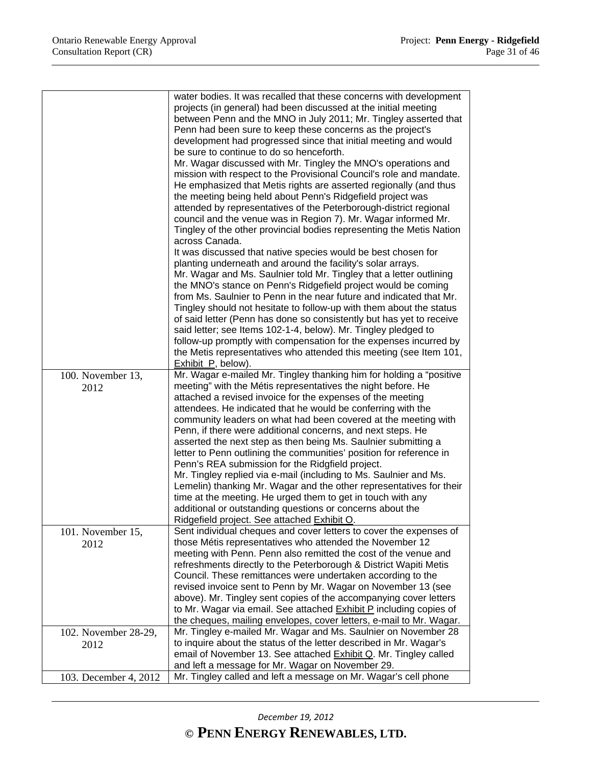|                       | water bodies. It was recalled that these concerns with development<br>projects (in general) had been discussed at the initial meeting |
|-----------------------|---------------------------------------------------------------------------------------------------------------------------------------|
|                       | between Penn and the MNO in July 2011; Mr. Tingley asserted that                                                                      |
|                       | Penn had been sure to keep these concerns as the project's                                                                            |
|                       | development had progressed since that initial meeting and would                                                                       |
|                       | be sure to continue to do so henceforth.                                                                                              |
|                       | Mr. Wagar discussed with Mr. Tingley the MNO's operations and                                                                         |
|                       | mission with respect to the Provisional Council's role and mandate.                                                                   |
|                       | He emphasized that Metis rights are asserted regionally (and thus                                                                     |
|                       | the meeting being held about Penn's Ridgefield project was                                                                            |
|                       | attended by representatives of the Peterborough-district regional                                                                     |
|                       | council and the venue was in Region 7). Mr. Wagar informed Mr.                                                                        |
|                       | Tingley of the other provincial bodies representing the Metis Nation                                                                  |
|                       | across Canada.                                                                                                                        |
|                       | It was discussed that native species would be best chosen for<br>planting underneath and around the facility's solar arrays.          |
|                       | Mr. Wagar and Ms. Saulnier told Mr. Tingley that a letter outlining                                                                   |
|                       | the MNO's stance on Penn's Ridgefield project would be coming                                                                         |
|                       | from Ms. Saulnier to Penn in the near future and indicated that Mr.                                                                   |
|                       | Tingley should not hesitate to follow-up with them about the status                                                                   |
|                       | of said letter (Penn has done so consistently but has yet to receive                                                                  |
|                       | said letter; see Items 102-1-4, below). Mr. Tingley pledged to                                                                        |
|                       | follow-up promptly with compensation for the expenses incurred by                                                                     |
|                       | the Metis representatives who attended this meeting (see Item 101,                                                                    |
| 100. November 13,     | Exhibit P, below).<br>Mr. Wagar e-mailed Mr. Tingley thanking him for holding a "positive                                             |
| 2012                  | meeting" with the Métis representatives the night before. He                                                                          |
|                       | attached a revised invoice for the expenses of the meeting                                                                            |
|                       | attendees. He indicated that he would be conferring with the                                                                          |
|                       | community leaders on what had been covered at the meeting with                                                                        |
|                       | Penn, if there were additional concerns, and next steps. He                                                                           |
|                       | asserted the next step as then being Ms. Saulnier submitting a                                                                        |
|                       | letter to Penn outlining the communities' position for reference in                                                                   |
|                       | Penn's REA submission for the Ridgfield project.<br>Mr. Tingley replied via e-mail (including to Ms. Saulnier and Ms.                 |
|                       | Lemelin) thanking Mr. Wagar and the other representatives for their                                                                   |
|                       | time at the meeting. He urged them to get in touch with any                                                                           |
|                       | additional or outstanding questions or concerns about the                                                                             |
|                       | Ridgefield project. See attached Exhibit O.                                                                                           |
| 101. November 15,     | Sent individual cheques and cover letters to cover the expenses of                                                                    |
| 2012                  | those Métis representatives who attended the November 12                                                                              |
|                       | meeting with Penn. Penn also remitted the cost of the venue and                                                                       |
|                       | refreshments directly to the Peterborough & District Wapiti Metis<br>Council. These remittances were undertaken according to the      |
|                       | revised invoice sent to Penn by Mr. Wagar on November 13 (see                                                                         |
|                       | above). Mr. Tingley sent copies of the accompanying cover letters                                                                     |
|                       | to Mr. Wagar via email. See attached <b>Exhibit P</b> including copies of                                                             |
|                       | the cheques, mailing envelopes, cover letters, e-mail to Mr. Wagar.                                                                   |
| 102. November 28-29,  | Mr. Tingley e-mailed Mr. Wagar and Ms. Saulnier on November 28                                                                        |
| 2012                  | to inquire about the status of the letter described in Mr. Wagar's                                                                    |
|                       | email of November 13. See attached <b>Exhibit Q. Mr. Tingley called</b>                                                               |
|                       | and left a message for Mr. Wagar on November 29.                                                                                      |
| 103. December 4, 2012 | Mr. Tingley called and left a message on Mr. Wagar's cell phone                                                                       |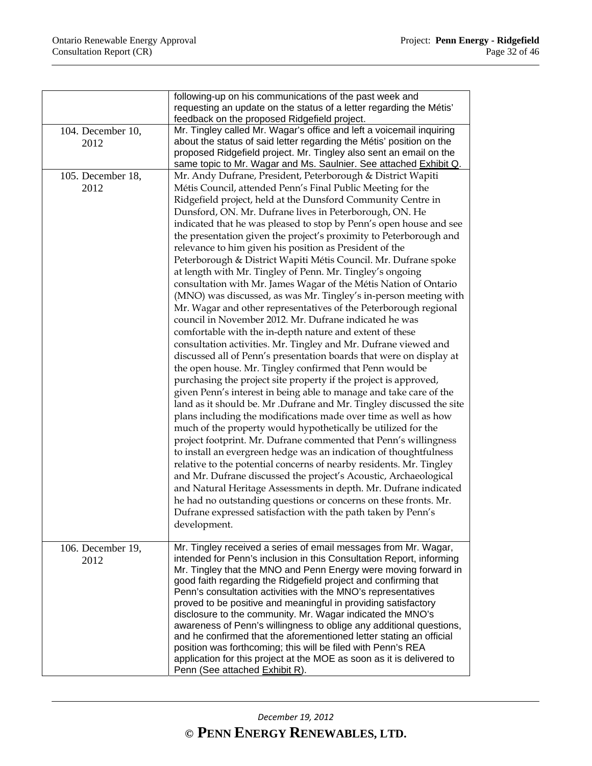|                           | following-up on his communications of the past week and<br>requesting an update on the status of a letter regarding the Métis'<br>feedback on the proposed Ridgefield project.                                                                                                                                                                                                                                                                                                                                                                                                                                                                                                                                                                                                                                                                                                                                                                                                                                                                                                                                                                                                                                                                                                                                                                                                                                                                                                                                                                                                                                                                                                                                                                                                                                                                                                                                                                                                                         |
|---------------------------|--------------------------------------------------------------------------------------------------------------------------------------------------------------------------------------------------------------------------------------------------------------------------------------------------------------------------------------------------------------------------------------------------------------------------------------------------------------------------------------------------------------------------------------------------------------------------------------------------------------------------------------------------------------------------------------------------------------------------------------------------------------------------------------------------------------------------------------------------------------------------------------------------------------------------------------------------------------------------------------------------------------------------------------------------------------------------------------------------------------------------------------------------------------------------------------------------------------------------------------------------------------------------------------------------------------------------------------------------------------------------------------------------------------------------------------------------------------------------------------------------------------------------------------------------------------------------------------------------------------------------------------------------------------------------------------------------------------------------------------------------------------------------------------------------------------------------------------------------------------------------------------------------------------------------------------------------------------------------------------------------------|
| 104. December 10,<br>2012 | Mr. Tingley called Mr. Wagar's office and left a voicemail inquiring<br>about the status of said letter regarding the Métis' position on the<br>proposed Ridgefield project. Mr. Tingley also sent an email on the<br>same topic to Mr. Wagar and Ms. Saulnier. See attached Exhibit Q.                                                                                                                                                                                                                                                                                                                                                                                                                                                                                                                                                                                                                                                                                                                                                                                                                                                                                                                                                                                                                                                                                                                                                                                                                                                                                                                                                                                                                                                                                                                                                                                                                                                                                                                |
| 105. December 18,<br>2012 | Mr. Andy Dufrane, President, Peterborough & District Wapiti<br>Métis Council, attended Penn's Final Public Meeting for the<br>Ridgefield project, held at the Dunsford Community Centre in<br>Dunsford, ON. Mr. Dufrane lives in Peterborough, ON. He<br>indicated that he was pleased to stop by Penn's open house and see<br>the presentation given the project's proximity to Peterborough and<br>relevance to him given his position as President of the<br>Peterborough & District Wapiti Métis Council. Mr. Dufrane spoke<br>at length with Mr. Tingley of Penn. Mr. Tingley's ongoing<br>consultation with Mr. James Wagar of the Métis Nation of Ontario<br>(MNO) was discussed, as was Mr. Tingley's in-person meeting with<br>Mr. Wagar and other representatives of the Peterborough regional<br>council in November 2012. Mr. Dufrane indicated he was<br>comfortable with the in-depth nature and extent of these<br>consultation activities. Mr. Tingley and Mr. Dufrane viewed and<br>discussed all of Penn's presentation boards that were on display at<br>the open house. Mr. Tingley confirmed that Penn would be<br>purchasing the project site property if the project is approved,<br>given Penn's interest in being able to manage and take care of the<br>land as it should be. Mr .Dufrane and Mr. Tingley discussed the site<br>plans including the modifications made over time as well as how<br>much of the property would hypothetically be utilized for the<br>project footprint. Mr. Dufrane commented that Penn's willingness<br>to install an evergreen hedge was an indication of thoughtfulness<br>relative to the potential concerns of nearby residents. Mr. Tingley<br>and Mr. Dufrane discussed the project's Acoustic, Archaeological<br>and Natural Heritage Assessments in depth. Mr. Dufrane indicated<br>he had no outstanding questions or concerns on these fronts. Mr.<br>Dufrane expressed satisfaction with the path taken by Penn's<br>development. |
| 106. December 19,<br>2012 | Mr. Tingley received a series of email messages from Mr. Wagar,<br>intended for Penn's inclusion in this Consultation Report, informing<br>Mr. Tingley that the MNO and Penn Energy were moving forward in<br>good faith regarding the Ridgefield project and confirming that<br>Penn's consultation activities with the MNO's representatives<br>proved to be positive and meaningful in providing satisfactory<br>disclosure to the community. Mr. Wagar indicated the MNO's<br>awareness of Penn's willingness to oblige any additional questions,<br>and he confirmed that the aforementioned letter stating an official<br>position was forthcoming; this will be filed with Penn's REA<br>application for this project at the MOE as soon as it is delivered to<br>Penn (See attached Exhibit R).                                                                                                                                                                                                                                                                                                                                                                                                                                                                                                                                                                                                                                                                                                                                                                                                                                                                                                                                                                                                                                                                                                                                                                                                |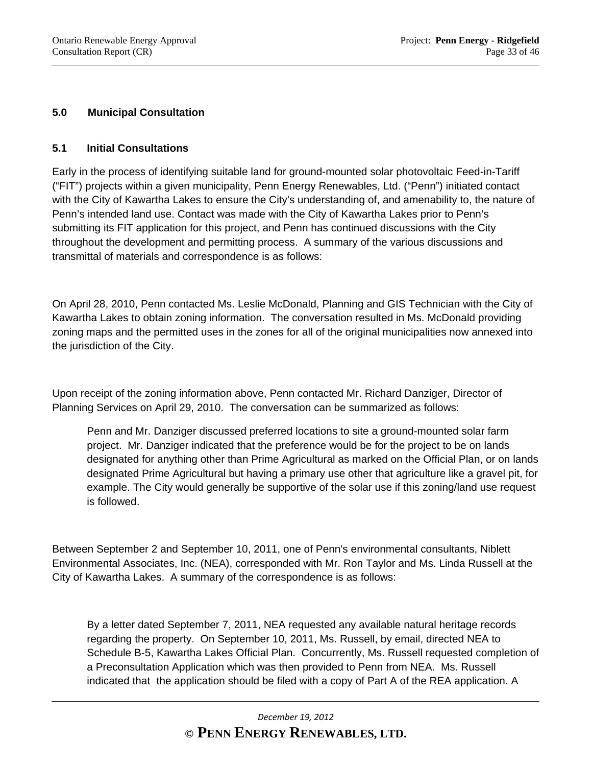# **5.0 Municipal Consultation**

#### **5.1 Initial Consultations**

Early in the process of identifying suitable land for ground-mounted solar photovoltaic Feed-in-Tariff ("FIT") projects within a given municipality, Penn Energy Renewables, Ltd. ("Penn") initiated contact with the City of Kawartha Lakes to ensure the City's understanding of, and amenability to, the nature of Penn's intended land use. Contact was made with the City of Kawartha Lakes prior to Penn's submitting its FIT application for this project, and Penn has continued discussions with the City throughout the development and permitting process. A summary of the various discussions and transmittal of materials and correspondence is as follows:

On April 28, 2010, Penn contacted Ms. Leslie McDonald, Planning and GIS Technician with the City of Kawartha Lakes to obtain zoning information. The conversation resulted in Ms. McDonald providing zoning maps and the permitted uses in the zones for all of the original municipalities now annexed into the jurisdiction of the City.

Upon receipt of the zoning information above, Penn contacted Mr. Richard Danziger, Director of Planning Services on April 29, 2010. The conversation can be summarized as follows:

Penn and Mr. Danziger discussed preferred locations to site a ground-mounted solar farm project. Mr. Danziger indicated that the preference would be for the project to be on lands designated for anything other than Prime Agricultural as marked on the Official Plan, or on lands designated Prime Agricultural but having a primary use other that agriculture like a gravel pit, for example. The City would generally be supportive of the solar use if this zoning/land use request is followed.

Between September 2 and September 10, 2011, one of Penn's environmental consultants, Niblett Environmental Associates, Inc. (NEA), corresponded with Mr. Ron Taylor and Ms. Linda Russell at the City of Kawartha Lakes. A summary of the correspondence is as follows:

 By a letter dated September 7, 2011, NEA requested any available natural heritage records regarding the property. On September 10, 2011, Ms. Russell, by email, directed NEA to Schedule B-5, Kawartha Lakes Official Plan. Concurrently, Ms. Russell requested completion of a Preconsultation Application which was then provided to Penn from NEA. Ms. Russell indicated that the application should be filed with a copy of Part A of the REA application. A

# *December 19, 2012* **© PENN ENERGY RENEWABLES, LTD.**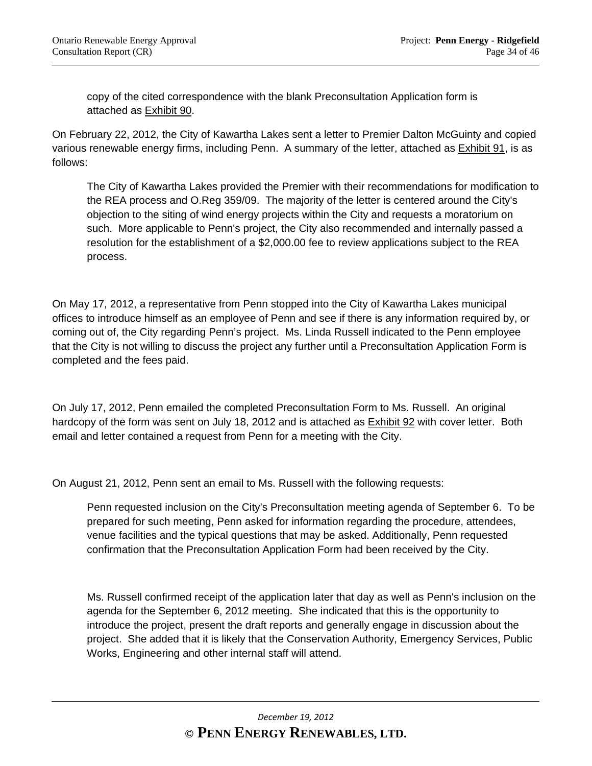copy of the cited correspondence with the blank Preconsultation Application form is attached as Exhibit 90.

On February 22, 2012, the City of Kawartha Lakes sent a letter to Premier Dalton McGuinty and copied various renewable energy firms, including Penn. A summary of the letter, attached as **Exhibit 91**, is as follows:

 The City of Kawartha Lakes provided the Premier with their recommendations for modification to the REA process and O.Reg 359/09. The majority of the letter is centered around the City's objection to the siting of wind energy projects within the City and requests a moratorium on such. More applicable to Penn's project, the City also recommended and internally passed a resolution for the establishment of a \$2,000.00 fee to review applications subject to the REA process.

On May 17, 2012, a representative from Penn stopped into the City of Kawartha Lakes municipal offices to introduce himself as an employee of Penn and see if there is any information required by, or coming out of, the City regarding Penn's project. Ms. Linda Russell indicated to the Penn employee that the City is not willing to discuss the project any further until a Preconsultation Application Form is completed and the fees paid.

On July 17, 2012, Penn emailed the completed Preconsultation Form to Ms. Russell. An original hardcopy of the form was sent on July 18, 2012 and is attached as Exhibit 92 with cover letter. Both email and letter contained a request from Penn for a meeting with the City.

On August 21, 2012, Penn sent an email to Ms. Russell with the following requests:

 Penn requested inclusion on the City's Preconsultation meeting agenda of September 6. To be prepared for such meeting, Penn asked for information regarding the procedure, attendees, venue facilities and the typical questions that may be asked. Additionally, Penn requested confirmation that the Preconsultation Application Form had been received by the City.

Ms. Russell confirmed receipt of the application later that day as well as Penn's inclusion on the agenda for the September 6, 2012 meeting. She indicated that this is the opportunity to introduce the project, present the draft reports and generally engage in discussion about the project. She added that it is likely that the Conservation Authority, Emergency Services, Public Works, Engineering and other internal staff will attend.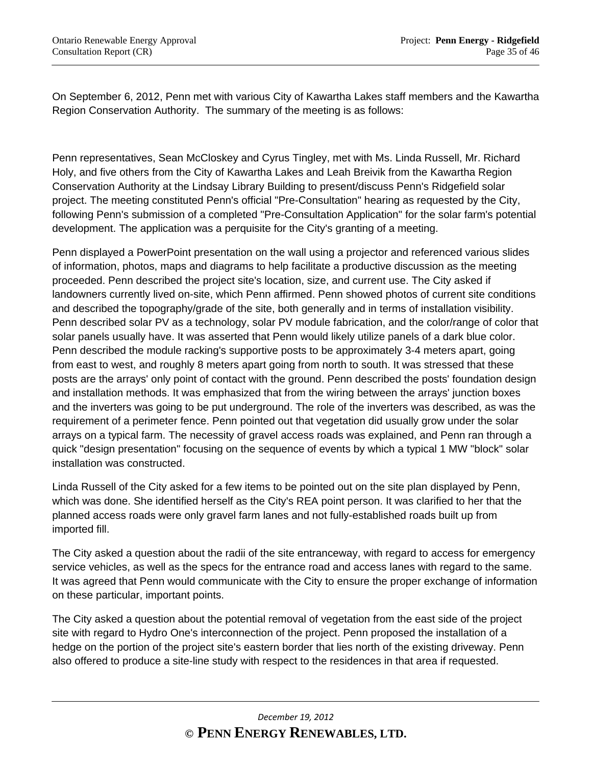On September 6, 2012, Penn met with various City of Kawartha Lakes staff members and the Kawartha Region Conservation Authority. The summary of the meeting is as follows:

Penn representatives, Sean McCloskey and Cyrus Tingley, met with Ms. Linda Russell, Mr. Richard Holy, and five others from the City of Kawartha Lakes and Leah Breivik from the Kawartha Region Conservation Authority at the Lindsay Library Building to present/discuss Penn's Ridgefield solar project. The meeting constituted Penn's official "Pre-Consultation" hearing as requested by the City, following Penn's submission of a completed "Pre-Consultation Application" for the solar farm's potential development. The application was a perquisite for the City's granting of a meeting.

Penn displayed a PowerPoint presentation on the wall using a projector and referenced various slides of information, photos, maps and diagrams to help facilitate a productive discussion as the meeting proceeded. Penn described the project site's location, size, and current use. The City asked if landowners currently lived on-site, which Penn affirmed. Penn showed photos of current site conditions and described the topography/grade of the site, both generally and in terms of installation visibility. Penn described solar PV as a technology, solar PV module fabrication, and the color/range of color that solar panels usually have. It was asserted that Penn would likely utilize panels of a dark blue color. Penn described the module racking's supportive posts to be approximately 3-4 meters apart, going from east to west, and roughly 8 meters apart going from north to south. It was stressed that these posts are the arrays' only point of contact with the ground. Penn described the posts' foundation design and installation methods. It was emphasized that from the wiring between the arrays' junction boxes and the inverters was going to be put underground. The role of the inverters was described, as was the requirement of a perimeter fence. Penn pointed out that vegetation did usually grow under the solar arrays on a typical farm. The necessity of gravel access roads was explained, and Penn ran through a quick "design presentation" focusing on the sequence of events by which a typical 1 MW "block" solar installation was constructed.

Linda Russell of the City asked for a few items to be pointed out on the site plan displayed by Penn, which was done. She identified herself as the City's REA point person. It was clarified to her that the planned access roads were only gravel farm lanes and not fully-established roads built up from imported fill.

The City asked a question about the radii of the site entranceway, with regard to access for emergency service vehicles, as well as the specs for the entrance road and access lanes with regard to the same. It was agreed that Penn would communicate with the City to ensure the proper exchange of information on these particular, important points.

The City asked a question about the potential removal of vegetation from the east side of the project site with regard to Hydro One's interconnection of the project. Penn proposed the installation of a hedge on the portion of the project site's eastern border that lies north of the existing driveway. Penn also offered to produce a site-line study with respect to the residences in that area if requested.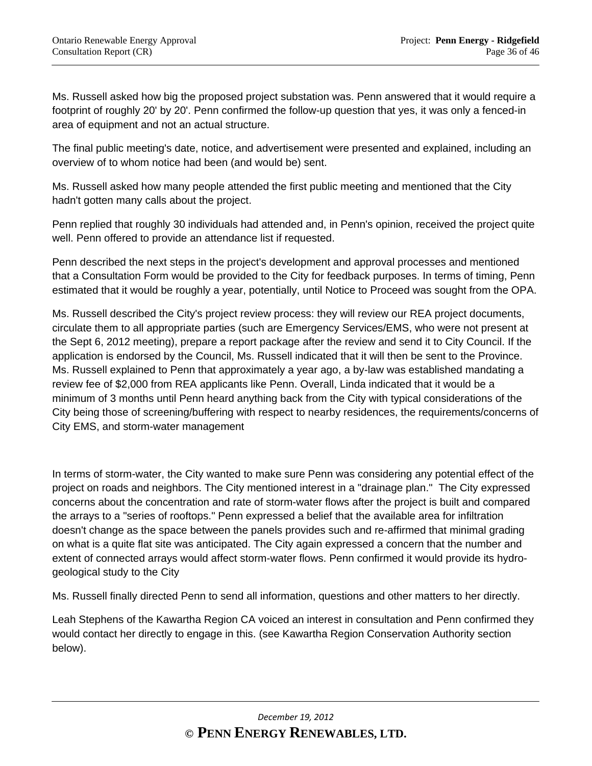Ms. Russell asked how big the proposed project substation was. Penn answered that it would require a footprint of roughly 20' by 20'. Penn confirmed the follow-up question that yes, it was only a fenced-in area of equipment and not an actual structure.

The final public meeting's date, notice, and advertisement were presented and explained, including an overview of to whom notice had been (and would be) sent.

Ms. Russell asked how many people attended the first public meeting and mentioned that the City hadn't gotten many calls about the project.

Penn replied that roughly 30 individuals had attended and, in Penn's opinion, received the project quite well. Penn offered to provide an attendance list if requested.

Penn described the next steps in the project's development and approval processes and mentioned that a Consultation Form would be provided to the City for feedback purposes. In terms of timing, Penn estimated that it would be roughly a year, potentially, until Notice to Proceed was sought from the OPA.

Ms. Russell described the City's project review process: they will review our REA project documents, circulate them to all appropriate parties (such are Emergency Services/EMS, who were not present at the Sept 6, 2012 meeting), prepare a report package after the review and send it to City Council. If the application is endorsed by the Council, Ms. Russell indicated that it will then be sent to the Province. Ms. Russell explained to Penn that approximately a year ago, a by-law was established mandating a review fee of \$2,000 from REA applicants like Penn. Overall, Linda indicated that it would be a minimum of 3 months until Penn heard anything back from the City with typical considerations of the City being those of screening/buffering with respect to nearby residences, the requirements/concerns of City EMS, and storm-water management

In terms of storm-water, the City wanted to make sure Penn was considering any potential effect of the project on roads and neighbors. The City mentioned interest in a "drainage plan." The City expressed concerns about the concentration and rate of storm-water flows after the project is built and compared the arrays to a "series of rooftops." Penn expressed a belief that the available area for infiltration doesn't change as the space between the panels provides such and re-affirmed that minimal grading on what is a quite flat site was anticipated. The City again expressed a concern that the number and extent of connected arrays would affect storm-water flows. Penn confirmed it would provide its hydrogeological study to the City

Ms. Russell finally directed Penn to send all information, questions and other matters to her directly.

Leah Stephens of the Kawartha Region CA voiced an interest in consultation and Penn confirmed they would contact her directly to engage in this. (see Kawartha Region Conservation Authority section below).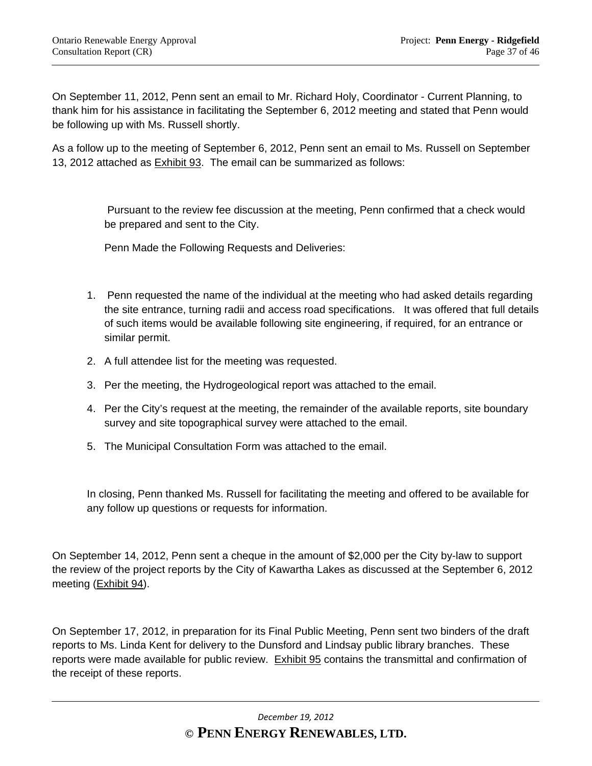On September 11, 2012, Penn sent an email to Mr. Richard Holy, Coordinator - Current Planning, to thank him for his assistance in facilitating the September 6, 2012 meeting and stated that Penn would be following up with Ms. Russell shortly.

As a follow up to the meeting of September 6, 2012, Penn sent an email to Ms. Russell on September 13, 2012 attached as Exhibit 93. The email can be summarized as follows:

> Pursuant to the review fee discussion at the meeting, Penn confirmed that a check would be prepared and sent to the City.

Penn Made the Following Requests and Deliveries:

- 1. Penn requested the name of the individual at the meeting who had asked details regarding the site entrance, turning radii and access road specifications. It was offered that full details of such items would be available following site engineering, if required, for an entrance or similar permit.
- 2. A full attendee list for the meeting was requested.
- 3. Per the meeting, the Hydrogeological report was attached to the email.
- 4. Per the City's request at the meeting, the remainder of the available reports, site boundary survey and site topographical survey were attached to the email.
- 5. The Municipal Consultation Form was attached to the email.

In closing, Penn thanked Ms. Russell for facilitating the meeting and offered to be available for any follow up questions or requests for information.

On September 14, 2012, Penn sent a cheque in the amount of \$2,000 per the City by-law to support the review of the project reports by the City of Kawartha Lakes as discussed at the September 6, 2012 meeting (Exhibit 94).

On September 17, 2012, in preparation for its Final Public Meeting, Penn sent two binders of the draft reports to Ms. Linda Kent for delivery to the Dunsford and Lindsay public library branches. These reports were made available for public review. Exhibit 95 contains the transmittal and confirmation of the receipt of these reports.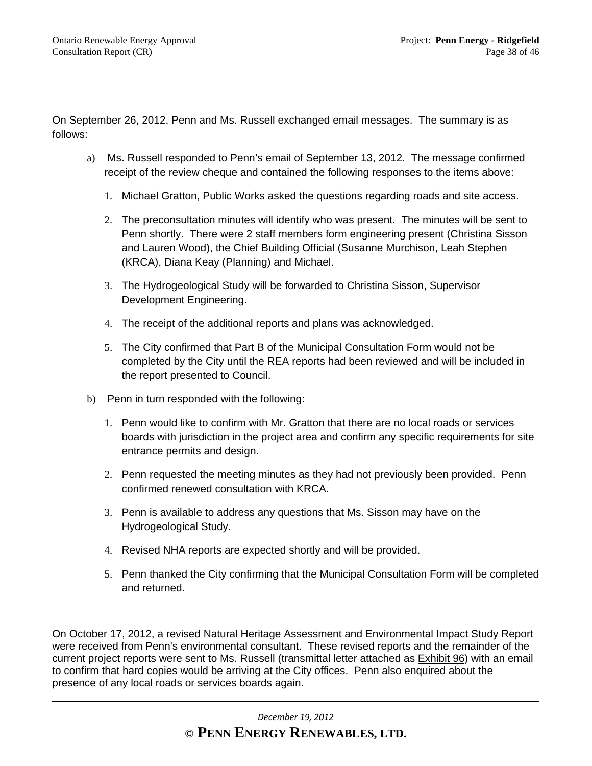On September 26, 2012, Penn and Ms. Russell exchanged email messages. The summary is as follows:

- a) Ms. Russell responded to Penn's email of September 13, 2012. The message confirmed receipt of the review cheque and contained the following responses to the items above:
	- 1. Michael Gratton, Public Works asked the questions regarding roads and site access.
	- 2. The preconsultation minutes will identify who was present. The minutes will be sent to Penn shortly. There were 2 staff members form engineering present (Christina Sisson and Lauren Wood), the Chief Building Official (Susanne Murchison, Leah Stephen (KRCA), Diana Keay (Planning) and Michael.
	- 3. The Hydrogeological Study will be forwarded to Christina Sisson, Supervisor Development Engineering.
	- 4. The receipt of the additional reports and plans was acknowledged.
	- 5. The City confirmed that Part B of the Municipal Consultation Form would not be completed by the City until the REA reports had been reviewed and will be included in the report presented to Council.
- b) Penn in turn responded with the following:
	- 1. Penn would like to confirm with Mr. Gratton that there are no local roads or services boards with jurisdiction in the project area and confirm any specific requirements for site entrance permits and design.
	- 2. Penn requested the meeting minutes as they had not previously been provided. Penn confirmed renewed consultation with KRCA.
	- 3. Penn is available to address any questions that Ms. Sisson may have on the Hydrogeological Study.
	- 4. Revised NHA reports are expected shortly and will be provided.
	- 5. Penn thanked the City confirming that the Municipal Consultation Form will be completed and returned.

On October 17, 2012, a revised Natural Heritage Assessment and Environmental Impact Study Report were received from Penn's environmental consultant. These revised reports and the remainder of the current project reports were sent to Ms. Russell (transmittal letter attached as Exhibit 96) with an email to confirm that hard copies would be arriving at the City offices. Penn also enquired about the presence of any local roads or services boards again.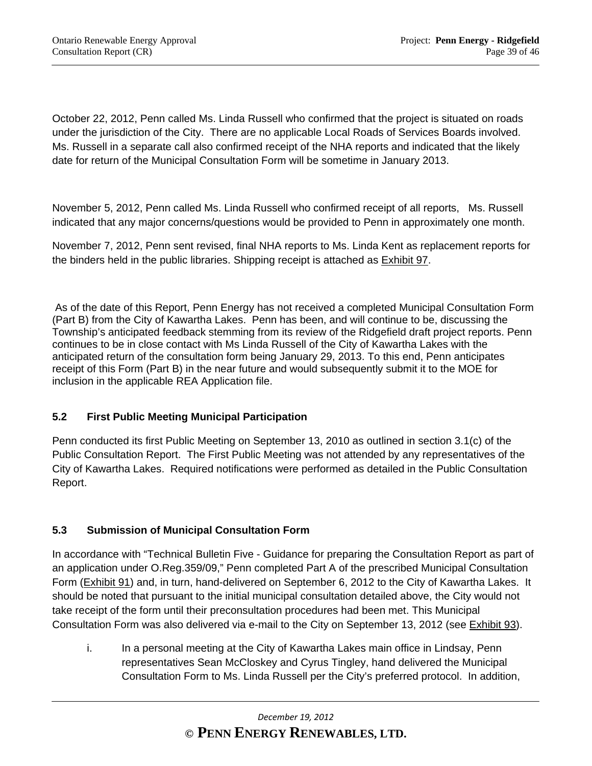October 22, 2012, Penn called Ms. Linda Russell who confirmed that the project is situated on roads under the jurisdiction of the City. There are no applicable Local Roads of Services Boards involved. Ms. Russell in a separate call also confirmed receipt of the NHA reports and indicated that the likely date for return of the Municipal Consultation Form will be sometime in January 2013.

November 5, 2012, Penn called Ms. Linda Russell who confirmed receipt of all reports, Ms. Russell indicated that any major concerns/questions would be provided to Penn in approximately one month.

November 7, 2012, Penn sent revised, final NHA reports to Ms. Linda Kent as replacement reports for the binders held in the public libraries. Shipping receipt is attached as Exhibit 97.

 As of the date of this Report, Penn Energy has not received a completed Municipal Consultation Form (Part B) from the City of Kawartha Lakes. Penn has been, and will continue to be, discussing the Township's anticipated feedback stemming from its review of the Ridgefield draft project reports. Penn continues to be in close contact with Ms Linda Russell of the City of Kawartha Lakes with the anticipated return of the consultation form being January 29, 2013. To this end, Penn anticipates receipt of this Form (Part B) in the near future and would subsequently submit it to the MOE for inclusion in the applicable REA Application file.

# **5.2 First Public Meeting Municipal Participation**

Penn conducted its first Public Meeting on September 13, 2010 as outlined in section 3.1(c) of the Public Consultation Report. The First Public Meeting was not attended by any representatives of the City of Kawartha Lakes. Required notifications were performed as detailed in the Public Consultation Report.

# **5.3 Submission of Municipal Consultation Form**

In accordance with "Technical Bulletin Five - Guidance for preparing the Consultation Report as part of an application under O.Reg.359/09," Penn completed Part A of the prescribed Municipal Consultation Form (Exhibit 91) and, in turn, hand-delivered on September 6, 2012 to the City of Kawartha Lakes. It should be noted that pursuant to the initial municipal consultation detailed above, the City would not take receipt of the form until their preconsultation procedures had been met. This Municipal Consultation Form was also delivered via e-mail to the City on September 13, 2012 (see Exhibit 93).

i. In a personal meeting at the City of Kawartha Lakes main office in Lindsay, Penn representatives Sean McCloskey and Cyrus Tingley, hand delivered the Municipal Consultation Form to Ms. Linda Russell per the City's preferred protocol. In addition,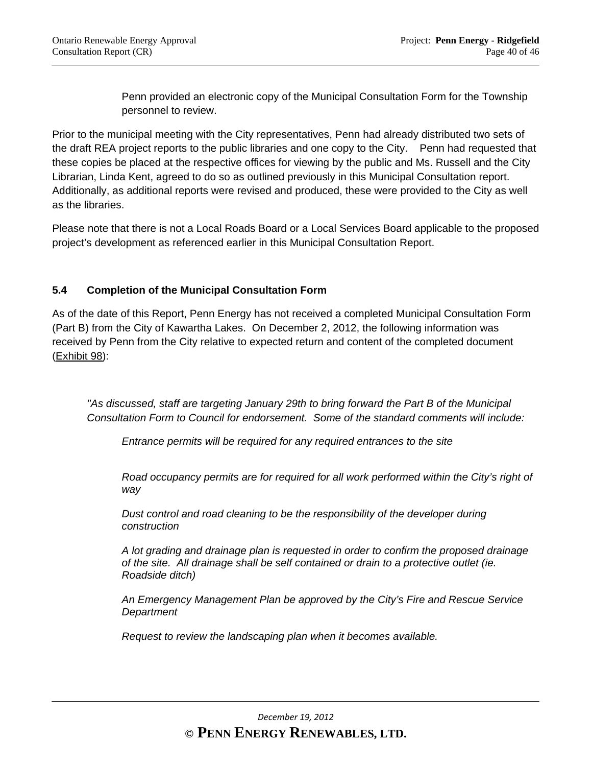Penn provided an electronic copy of the Municipal Consultation Form for the Township personnel to review.

Prior to the municipal meeting with the City representatives, Penn had already distributed two sets of the draft REA project reports to the public libraries and one copy to the City. Penn had requested that these copies be placed at the respective offices for viewing by the public and Ms. Russell and the City Librarian, Linda Kent, agreed to do so as outlined previously in this Municipal Consultation report. Additionally, as additional reports were revised and produced, these were provided to the City as well as the libraries.

Please note that there is not a Local Roads Board or a Local Services Board applicable to the proposed project's development as referenced earlier in this Municipal Consultation Report.

# **5.4 Completion of the Municipal Consultation Form**

As of the date of this Report, Penn Energy has not received a completed Municipal Consultation Form (Part B) from the City of Kawartha Lakes. On December 2, 2012, the following information was received by Penn from the City relative to expected return and content of the completed document (Exhibit 98):

*"As discussed, staff are targeting January 29th to bring forward the Part B of the Municipal Consultation Form to Council for endorsement. Some of the standard comments will include:* 

 *Entrance permits will be required for any required entrances to the site* 

 *Road occupancy permits are for required for all work performed within the City's right of way* 

 *Dust control and road cleaning to be the responsibility of the developer during construction* 

 *A lot grading and drainage plan is requested in order to confirm the proposed drainage of the site. All drainage shall be self contained or drain to a protective outlet (ie. Roadside ditch)* 

 *An Emergency Management Plan be approved by the City's Fire and Rescue Service Department* 

 *Request to review the landscaping plan when it becomes available.*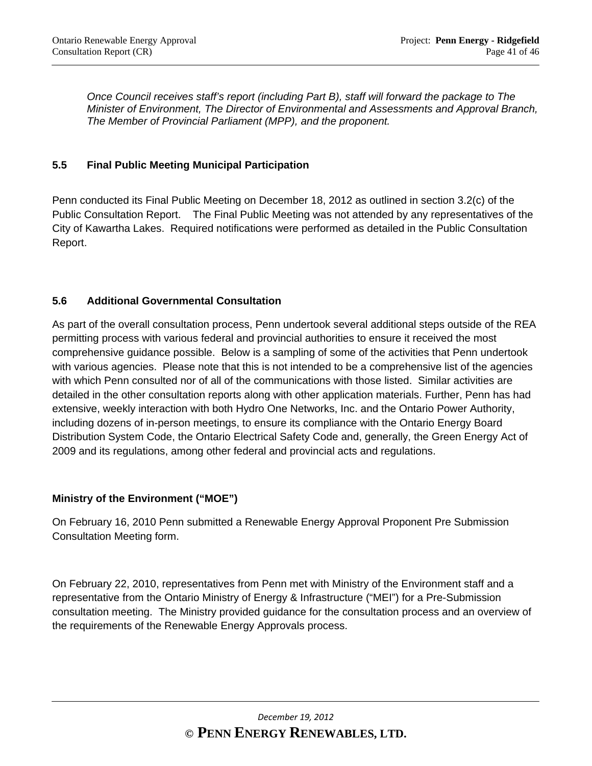*Once Council receives staff's report (including Part B), staff will forward the package to The Minister of Environment, The Director of Environmental and Assessments and Approval Branch, The Member of Provincial Parliament (MPP), and the proponent.* 

# **5.5 Final Public Meeting Municipal Participation**

Penn conducted its Final Public Meeting on December 18, 2012 as outlined in section 3.2(c) of the Public Consultation Report. The Final Public Meeting was not attended by any representatives of the City of Kawartha Lakes. Required notifications were performed as detailed in the Public Consultation Report.

### **5.6 Additional Governmental Consultation**

As part of the overall consultation process, Penn undertook several additional steps outside of the REA permitting process with various federal and provincial authorities to ensure it received the most comprehensive guidance possible. Below is a sampling of some of the activities that Penn undertook with various agencies. Please note that this is not intended to be a comprehensive list of the agencies with which Penn consulted nor of all of the communications with those listed. Similar activities are detailed in the other consultation reports along with other application materials. Further, Penn has had extensive, weekly interaction with both Hydro One Networks, Inc. and the Ontario Power Authority, including dozens of in-person meetings, to ensure its compliance with the Ontario Energy Board Distribution System Code, the Ontario Electrical Safety Code and, generally, the Green Energy Act of 2009 and its regulations, among other federal and provincial acts and regulations.

# **Ministry of the Environment ("MOE")**

On February 16, 2010 Penn submitted a Renewable Energy Approval Proponent Pre Submission Consultation Meeting form.

On February 22, 2010, representatives from Penn met with Ministry of the Environment staff and a representative from the Ontario Ministry of Energy & Infrastructure ("MEI") for a Pre-Submission consultation meeting. The Ministry provided guidance for the consultation process and an overview of the requirements of the Renewable Energy Approvals process.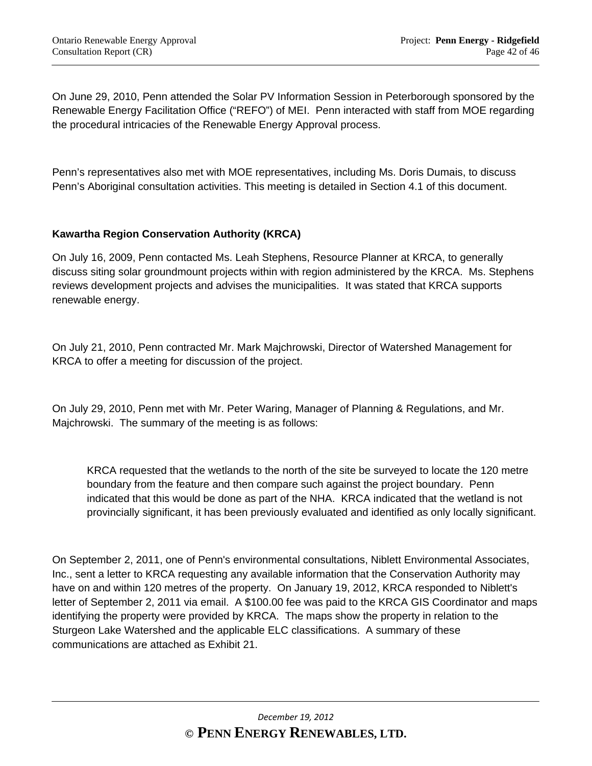On June 29, 2010, Penn attended the Solar PV Information Session in Peterborough sponsored by the Renewable Energy Facilitation Office ("REFO") of MEI. Penn interacted with staff from MOE regarding the procedural intricacies of the Renewable Energy Approval process.

Penn's representatives also met with MOE representatives, including Ms. Doris Dumais, to discuss Penn's Aboriginal consultation activities. This meeting is detailed in Section 4.1 of this document.

# **Kawartha Region Conservation Authority (KRCA)**

On July 16, 2009, Penn contacted Ms. Leah Stephens, Resource Planner at KRCA, to generally discuss siting solar groundmount projects within with region administered by the KRCA. Ms. Stephens reviews development projects and advises the municipalities. It was stated that KRCA supports renewable energy.

On July 21, 2010, Penn contracted Mr. Mark Majchrowski, Director of Watershed Management for KRCA to offer a meeting for discussion of the project.

On July 29, 2010, Penn met with Mr. Peter Waring, Manager of Planning & Regulations, and Mr. Majchrowski. The summary of the meeting is as follows:

 KRCA requested that the wetlands to the north of the site be surveyed to locate the 120 metre boundary from the feature and then compare such against the project boundary. Penn indicated that this would be done as part of the NHA. KRCA indicated that the wetland is not provincially significant, it has been previously evaluated and identified as only locally significant.

On September 2, 2011, one of Penn's environmental consultations, Niblett Environmental Associates, Inc., sent a letter to KRCA requesting any available information that the Conservation Authority may have on and within 120 metres of the property. On January 19, 2012, KRCA responded to Niblett's letter of September 2, 2011 via email. A \$100.00 fee was paid to the KRCA GIS Coordinator and maps identifying the property were provided by KRCA. The maps show the property in relation to the Sturgeon Lake Watershed and the applicable ELC classifications. A summary of these communications are attached as Exhibit 21.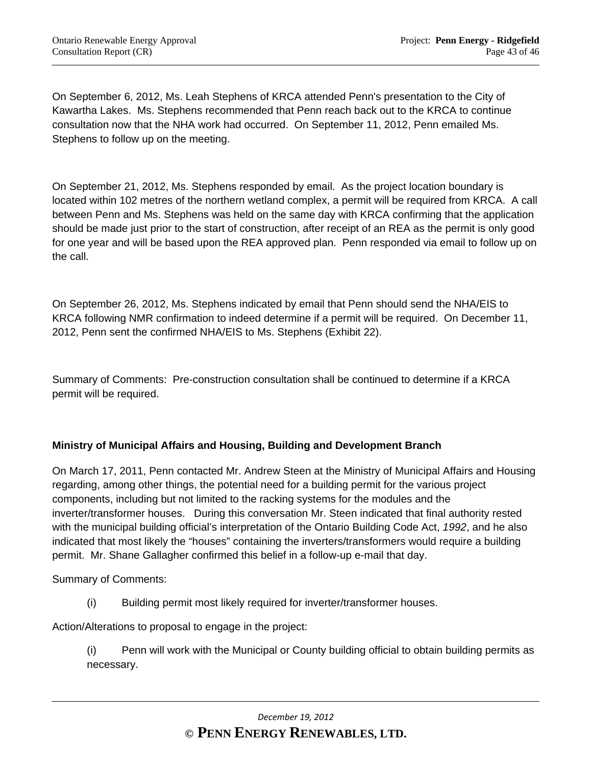On September 6, 2012, Ms. Leah Stephens of KRCA attended Penn's presentation to the City of Kawartha Lakes. Ms. Stephens recommended that Penn reach back out to the KRCA to continue consultation now that the NHA work had occurred. On September 11, 2012, Penn emailed Ms. Stephens to follow up on the meeting.

On September 21, 2012, Ms. Stephens responded by email. As the project location boundary is located within 102 metres of the northern wetland complex, a permit will be required from KRCA. A call between Penn and Ms. Stephens was held on the same day with KRCA confirming that the application should be made just prior to the start of construction, after receipt of an REA as the permit is only good for one year and will be based upon the REA approved plan. Penn responded via email to follow up on the call.

On September 26, 2012, Ms. Stephens indicated by email that Penn should send the NHA/EIS to KRCA following NMR confirmation to indeed determine if a permit will be required. On December 11, 2012, Penn sent the confirmed NHA/EIS to Ms. Stephens (Exhibit 22).

Summary of Comments: Pre-construction consultation shall be continued to determine if a KRCA permit will be required.

# **Ministry of Municipal Affairs and Housing, Building and Development Branch**

On March 17, 2011, Penn contacted Mr. Andrew Steen at the Ministry of Municipal Affairs and Housing regarding, among other things, the potential need for a building permit for the various project components, including but not limited to the racking systems for the modules and the inverter/transformer houses. During this conversation Mr. Steen indicated that final authority rested with the municipal building official's interpretation of the Ontario Building Code Act, *1992*, and he also indicated that most likely the "houses" containing the inverters/transformers would require a building permit. Mr. Shane Gallagher confirmed this belief in a follow-up e-mail that day.

Summary of Comments:

(i) Building permit most likely required for inverter/transformer houses.

Action/Alterations to proposal to engage in the project:

(i) Penn will work with the Municipal or County building official to obtain building permits as necessary.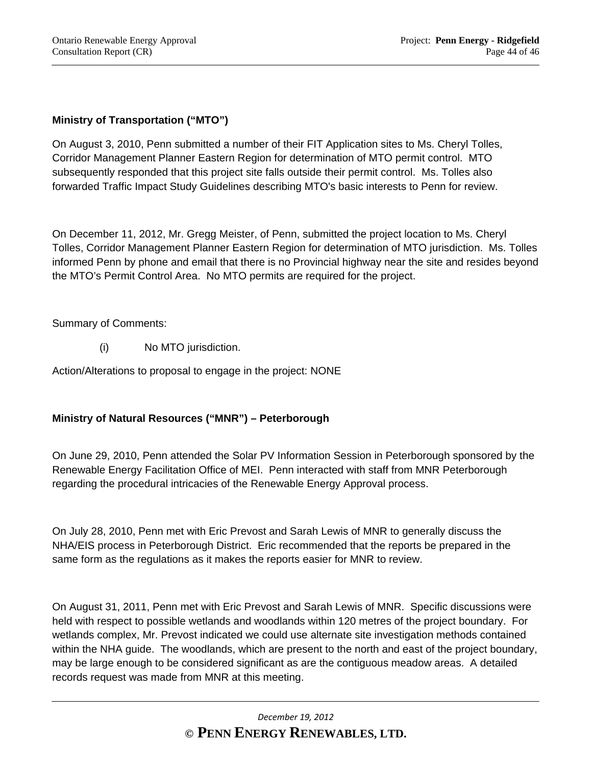# **Ministry of Transportation ("MTO")**

On August 3, 2010, Penn submitted a number of their FIT Application sites to Ms. Cheryl Tolles, Corridor Management Planner Eastern Region for determination of MTO permit control. MTO subsequently responded that this project site falls outside their permit control. Ms. Tolles also forwarded Traffic Impact Study Guidelines describing MTO's basic interests to Penn for review.

On December 11, 2012, Mr. Gregg Meister, of Penn, submitted the project location to Ms. Cheryl Tolles, Corridor Management Planner Eastern Region for determination of MTO jurisdiction. Ms. Tolles informed Penn by phone and email that there is no Provincial highway near the site and resides beyond the MTO's Permit Control Area. No MTO permits are required for the project.

Summary of Comments:

(i) No MTO jurisdiction.

Action/Alterations to proposal to engage in the project: NONE

#### **Ministry of Natural Resources ("MNR") – Peterborough**

On June 29, 2010, Penn attended the Solar PV Information Session in Peterborough sponsored by the Renewable Energy Facilitation Office of MEI. Penn interacted with staff from MNR Peterborough regarding the procedural intricacies of the Renewable Energy Approval process.

On July 28, 2010, Penn met with Eric Prevost and Sarah Lewis of MNR to generally discuss the NHA/EIS process in Peterborough District. Eric recommended that the reports be prepared in the same form as the regulations as it makes the reports easier for MNR to review.

On August 31, 2011, Penn met with Eric Prevost and Sarah Lewis of MNR. Specific discussions were held with respect to possible wetlands and woodlands within 120 metres of the project boundary. For wetlands complex, Mr. Prevost indicated we could use alternate site investigation methods contained within the NHA guide. The woodlands, which are present to the north and east of the project boundary, may be large enough to be considered significant as are the contiguous meadow areas. A detailed records request was made from MNR at this meeting.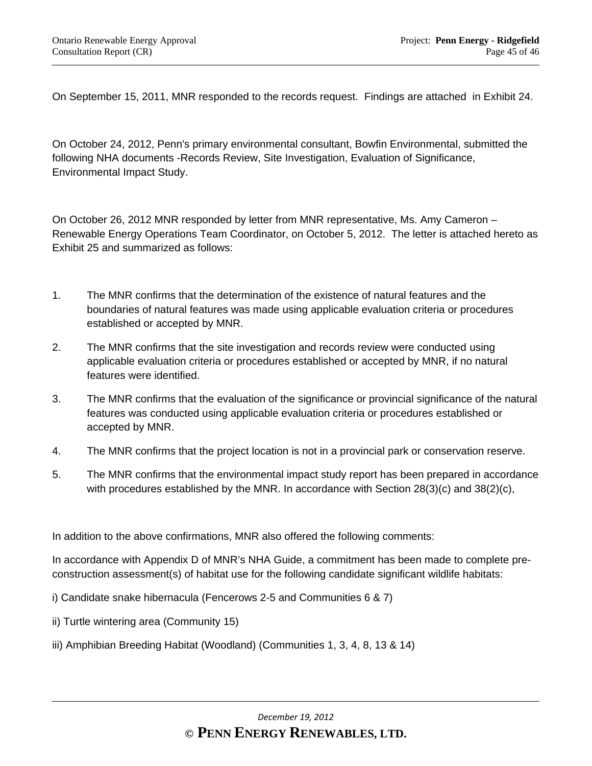On September 15, 2011, MNR responded to the records request. Findings are attached in Exhibit 24.

On October 24, 2012, Penn's primary environmental consultant, Bowfin Environmental, submitted the following NHA documents -Records Review, Site Investigation, Evaluation of Significance, Environmental Impact Study.

On October 26, 2012 MNR responded by letter from MNR representative, Ms. Amy Cameron – Renewable Energy Operations Team Coordinator, on October 5, 2012. The letter is attached hereto as Exhibit 25 and summarized as follows:

- 1. The MNR confirms that the determination of the existence of natural features and the boundaries of natural features was made using applicable evaluation criteria or procedures established or accepted by MNR.
- 2. The MNR confirms that the site investigation and records review were conducted using applicable evaluation criteria or procedures established or accepted by MNR, if no natural features were identified.
- 3. The MNR confirms that the evaluation of the significance or provincial significance of the natural features was conducted using applicable evaluation criteria or procedures established or accepted by MNR.
- 4. The MNR confirms that the project location is not in a provincial park or conservation reserve.
- 5. The MNR confirms that the environmental impact study report has been prepared in accordance with procedures established by the MNR. In accordance with Section 28(3)(c) and 38(2)(c),

In addition to the above confirmations, MNR also offered the following comments:

In accordance with Appendix D of MNR's NHA Guide, a commitment has been made to complete preconstruction assessment(s) of habitat use for the following candidate significant wildlife habitats:

i) Candidate snake hibernacula (Fencerows 2-5 and Communities 6 & 7)

- ii) Turtle wintering area (Community 15)
- iii) Amphibian Breeding Habitat (Woodland) (Communities 1, 3, 4, 8, 13 & 14)